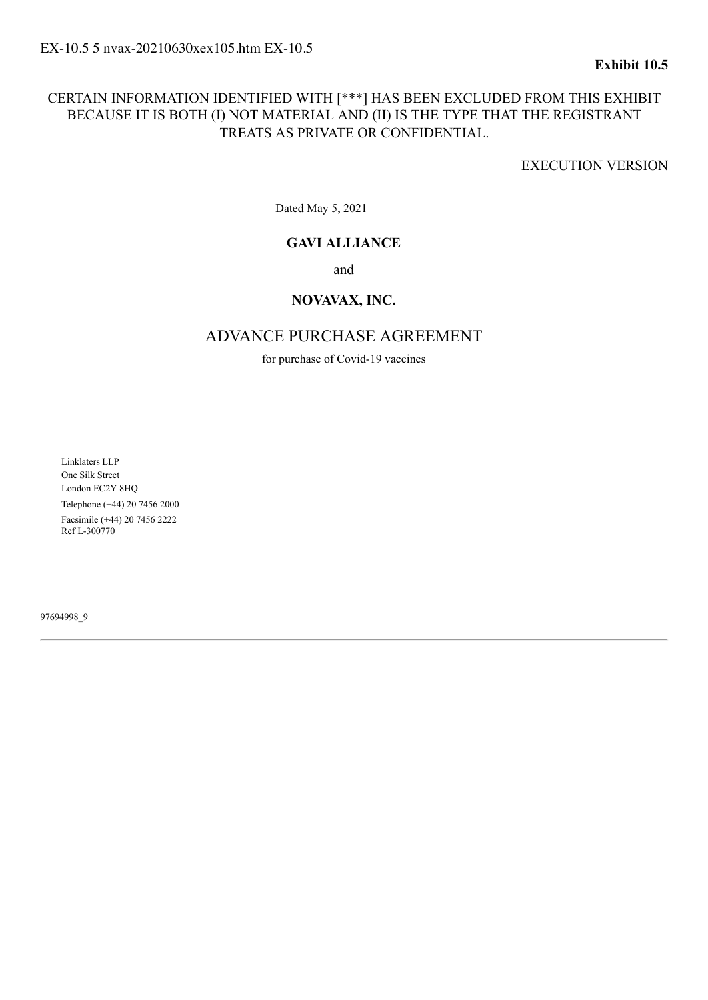### CERTAIN INFORMATION IDENTIFIED WITH [\*\*\*] HAS BEEN EXCLUDED FROM THIS EXHIBIT BECAUSE IT IS BOTH (I) NOT MATERIAL AND (II) IS THE TYPE THAT THE REGISTRANT TREATS AS PRIVATE OR CONFIDENTIAL.

EXECUTION VERSION

Dated May 5, 2021

#### **GAVI ALLIANCE**

and

#### **NOVAVAX, INC.**

#### ADVANCE PURCHASE AGREEMENT

for purchase of Covid-19 vaccines

Linklaters LLP One Silk Street London EC2Y 8HQ Telephone (+44) 20 7456 2000 Facsimile (+44) 20 7456 2222 Ref L-300770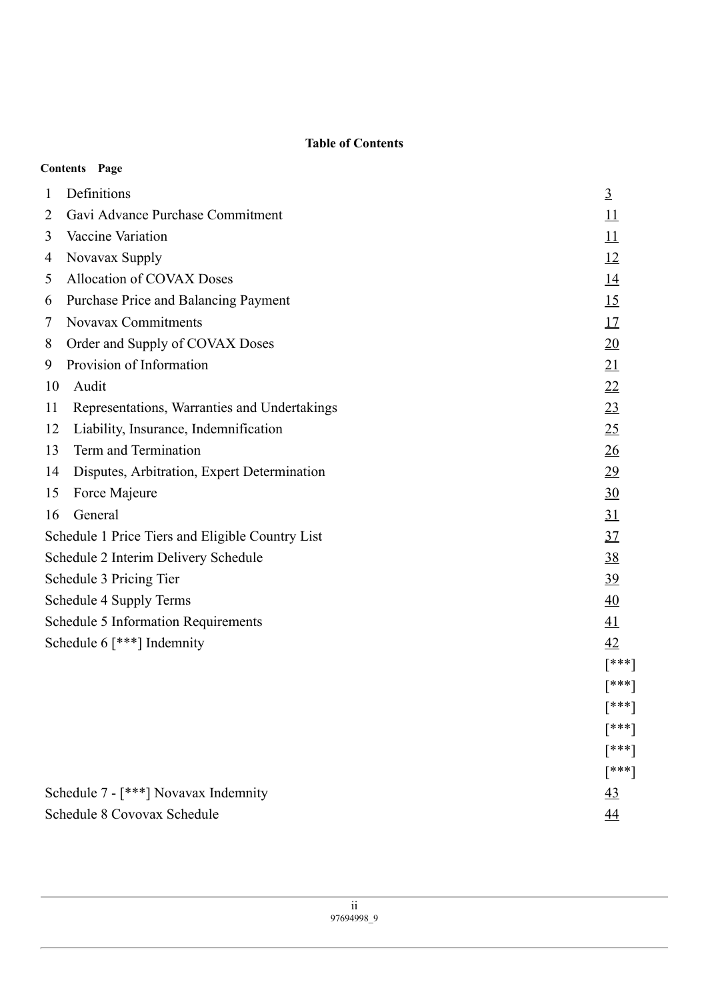#### **Table of Contents**

<span id="page-1-0"></span>

|                                                  | <b>Contents Page</b>                         |                 |
|--------------------------------------------------|----------------------------------------------|-----------------|
| $\mathbf{1}$                                     | Definitions                                  | $\overline{3}$  |
| 2                                                | Gavi Advance Purchase Commitment             | 11              |
| 3                                                | Vaccine Variation                            | 11              |
| 4                                                | Novavax Supply                               | 12              |
| 5                                                | Allocation of COVAX Doses                    | <u>14</u>       |
| 6                                                | Purchase Price and Balancing Payment         | 15              |
| 7                                                | Novavax Commitments                          | 17              |
| 8                                                | Order and Supply of COVAX Doses              | 20              |
| 9                                                | Provision of Information                     | 21              |
| 10                                               | Audit                                        | 22              |
| 11                                               | Representations, Warranties and Undertakings | 23              |
| 12                                               | Liability, Insurance, Indemnification        | 25              |
| 13                                               | Term and Termination                         | 26              |
| 14                                               | Disputes, Arbitration, Expert Determination  | 29              |
| 15                                               | Force Majeure                                | 30              |
| 16                                               | General                                      | 31              |
| Schedule 1 Price Tiers and Eligible Country List |                                              | 37              |
| Schedule 2 Interim Delivery Schedule             |                                              | 38              |
| Schedule 3 Pricing Tier                          |                                              | 39              |
|                                                  | Schedule 4 Supply Terms                      | 40              |
|                                                  | <b>Schedule 5 Information Requirements</b>   | 41              |
|                                                  | Schedule 6 $[***]$ Indemnity                 | 42              |
|                                                  |                                              | $[***]$         |
|                                                  |                                              | [***]           |
|                                                  |                                              | [***]           |
|                                                  |                                              | [***]           |
|                                                  |                                              | $[***]$         |
|                                                  |                                              | $[***]$         |
|                                                  | Schedule 7 - [***] Novavax Indemnity         | $\overline{43}$ |
|                                                  | Schedule 8 Covovax Schedule                  | 44              |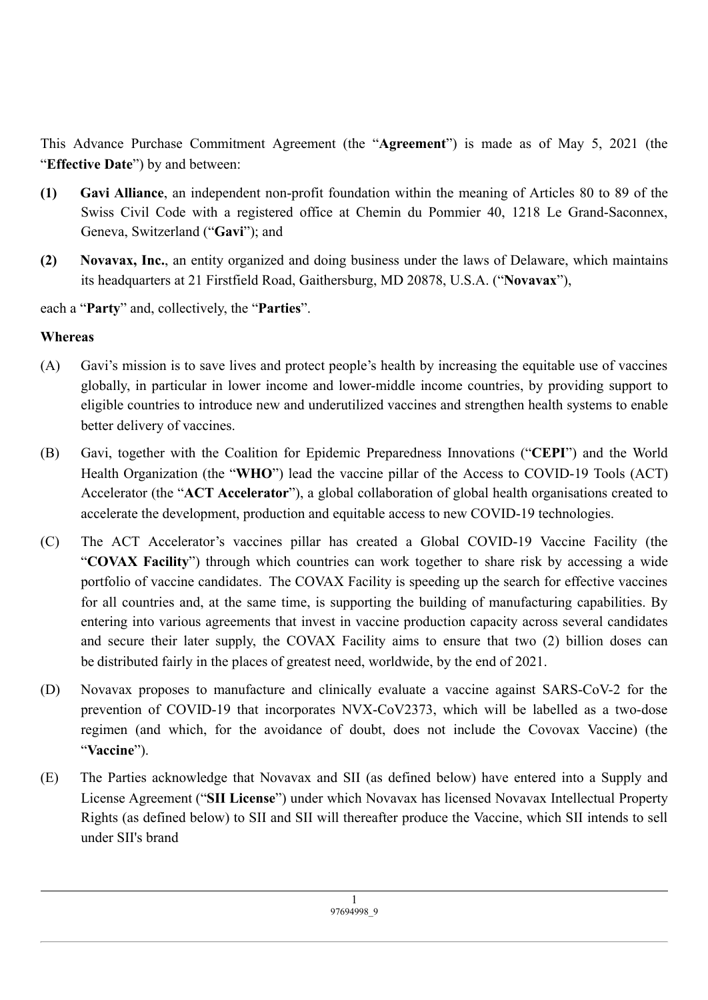This Advance Purchase Commitment Agreement (the "**Agreement**") is made as of May 5, 2021 (the "**Effective Date**") by and between:

- **(1) Gavi Alliance**, an independent non-profit foundation within the meaning of Articles 80 to 89 of the Swiss Civil Code with a registered office at Chemin du Pommier 40, 1218 Le Grand-Saconnex, Geneva, Switzerland ("**Gavi**"); and
- **(2) Novavax, Inc.**, an entity organized and doing business under the laws of Delaware, which maintains its headquarters at 21 Firstfield Road, Gaithersburg, MD 20878, U.S.A. ("**Novavax**"),

each a "**Party**" and, collectively, the "**Parties**".

## **Whereas**

- (A) Gavi's mission is to save lives and protect people's health by increasing the equitable use of vaccines globally, in particular in lower income and lower-middle income countries, by providing support to eligible countries to introduce new and underutilized vaccines and strengthen health systems to enable better delivery of vaccines.
- (B) Gavi, together with the Coalition for Epidemic Preparedness Innovations ("**CEPI**") and the World Health Organization (the "**WHO**") lead the vaccine pillar of the Access to COVID-19 Tools (ACT) Accelerator (the "**ACT Accelerator**"), a global collaboration of global health organisations created to accelerate the development, production and equitable access to new COVID-19 technologies.
- (C) The ACT Accelerator's vaccines pillar has created a Global COVID-19 Vaccine Facility (the "**COVAX Facility**") through which countries can work together to share risk by accessing a wide portfolio of vaccine candidates. The COVAX Facility is speeding up the search for effective vaccines for all countries and, at the same time, is supporting the building of manufacturing capabilities. By entering into various agreements that invest in vaccine production capacity across several candidates and secure their later supply, the COVAX Facility aims to ensure that two (2) billion doses can be distributed fairly in the places of greatest need, worldwide, by the end of 2021.
- (D) Novavax proposes to manufacture and clinically evaluate a vaccine against SARS-CoV-2 for the prevention of COVID-19 that incorporates NVX-CoV2373, which will be labelled as a two-dose regimen (and which, for the avoidance of doubt, does not include the Covovax Vaccine) (the "**Vaccine**").
- (E) The Parties acknowledge that Novavax and SII (as defined below) have entered into a Supply and License Agreement ("**SII License**") under which Novavax has licensed Novavax Intellectual Property Rights (as defined below) to SII and SII will thereafter produce the Vaccine, which SII intends to sell under SII's brand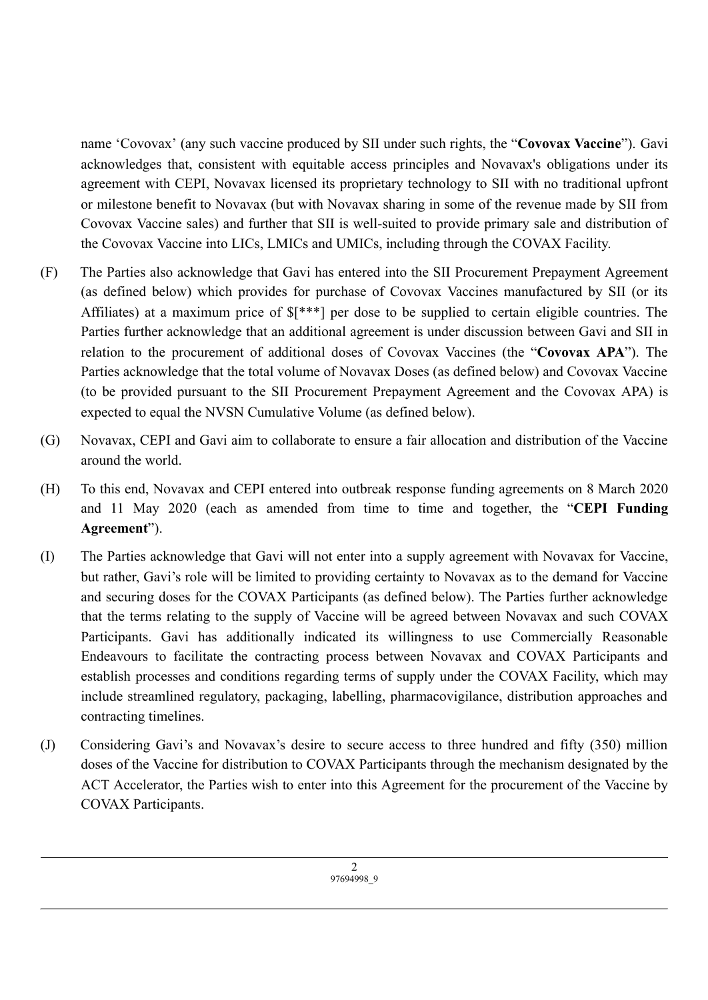name 'Covovax' (any such vaccine produced by SII under such rights, the "**Covovax Vaccine**"). Gavi acknowledges that, consistent with equitable access principles and Novavax's obligations under its agreement with CEPI, Novavax licensed its proprietary technology to SII with no traditional upfront or milestone benefit to Novavax (but with Novavax sharing in some of the revenue made by SII from Covovax Vaccine sales) and further that SII is well-suited to provide primary sale and distribution of the Covovax Vaccine into LICs, LMICs and UMICs, including through the COVAX Facility.

- (F) The Parties also acknowledge that Gavi has entered into the SII Procurement Prepayment Agreement (as defined below) which provides for purchase of Covovax Vaccines manufactured by SII (or its Affiliates) at a maximum price of \$[\*\*\*] per dose to be supplied to certain eligible countries. The Parties further acknowledge that an additional agreement is under discussion between Gavi and SII in relation to the procurement of additional doses of Covovax Vaccines (the "**Covovax APA**"). The Parties acknowledge that the total volume of Novavax Doses (as defined below) and Covovax Vaccine (to be provided pursuant to the SII Procurement Prepayment Agreement and the Covovax APA) is expected to equal the NVSN Cumulative Volume (as defined below).
- (G) Novavax, CEPI and Gavi aim to collaborate to ensure a fair allocation and distribution of the Vaccine around the world.
- (H) To this end, Novavax and CEPI entered into outbreak response funding agreements on 8 March 2020 and 11 May 2020 (each as amended from time to time and together, the "**CEPI Funding Agreement**").
- (I) The Parties acknowledge that Gavi will not enter into a supply agreement with Novavax for Vaccine, but rather, Gavi's role will be limited to providing certainty to Novavax as to the demand for Vaccine and securing doses for the COVAX Participants (as defined below). The Parties further acknowledge that the terms relating to the supply of Vaccine will be agreed between Novavax and such COVAX Participants. Gavi has additionally indicated its willingness to use Commercially Reasonable Endeavours to facilitate the contracting process between Novavax and COVAX Participants and establish processes and conditions regarding terms of supply under the COVAX Facility, which may include streamlined regulatory, packaging, labelling, pharmacovigilance, distribution approaches and contracting timelines.
- (J) Considering Gavi's and Novavax's desire to secure access to three hundred and fifty (350) million doses of the Vaccine for distribution to COVAX Participants through the mechanism designated by the ACT Accelerator, the Parties wish to enter into this Agreement for the procurement of the Vaccine by COVAX Participants.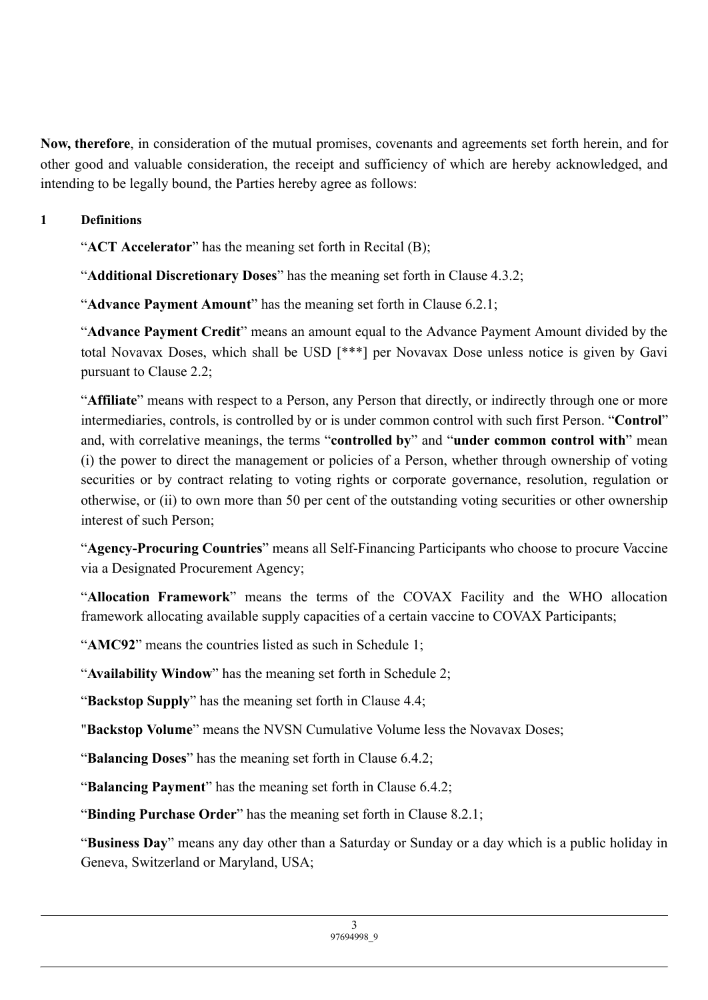**Now, therefore**, in consideration of the mutual promises, covenants and agreements set forth herein, and for other good and valuable consideration, the receipt and sufficiency of which are hereby acknowledged, and intending to be legally bound, the Parties hereby agree as follows:

## **1 Definitions**

"**ACT Accelerator**" has the meaning set forth in Recital (B);

"**Additional Discretionary Doses**" has the meaning set forth in Clause 4.3.2;

"**Advance Payment Amount**" has the meaning set forth in Clause 6.2.1;

"**Advance Payment Credit**" means an amount equal to the Advance Payment Amount divided by the total Novavax Doses, which shall be USD [\*\*\*] per Novavax Dose unless notice is given by Gavi pursuant to Clause 2.2;

"**Affiliate**" means with respect to a Person, any Person that directly, or indirectly through one or more intermediaries, controls, is controlled by or is under common control with such first Person. "**Control**" and, with correlative meanings, the terms "**controlled by**" and "**under common control with**" mean (i) the power to direct the management or policies of a Person, whether through ownership of voting securities or by contract relating to voting rights or corporate governance, resolution, regulation or otherwise, or (ii) to own more than 50 per cent of the outstanding voting securities or other ownership interest of such Person;

"**Agency-Procuring Countries**" means all Self-Financing Participants who choose to procure Vaccine via a Designated Procurement Agency;

"**Allocation Framework**" means the terms of the COVAX Facility and the WHO allocation framework allocating available supply capacities of a certain vaccine to COVAX Participants;

"**AMC92**" means the countries listed as such in Schedule 1;

"**Availability Window**" has the meaning set forth in Schedule 2;

"**Backstop Supply**" has the meaning set forth in Clause 4.4;

"**Backstop Volume**" means the NVSN Cumulative Volume less the Novavax Doses;

"**Balancing Doses**" has the meaning set forth in Clause 6.4.2;

"**Balancing Payment**" has the meaning set forth in Clause 6.4.2;

"**Binding Purchase Order**" has the meaning set forth in Clause 8.2.1;

"**Business Day**" means any day other than a Saturday or Sunday or a day which is a public holiday in Geneva, Switzerland or Maryland, USA;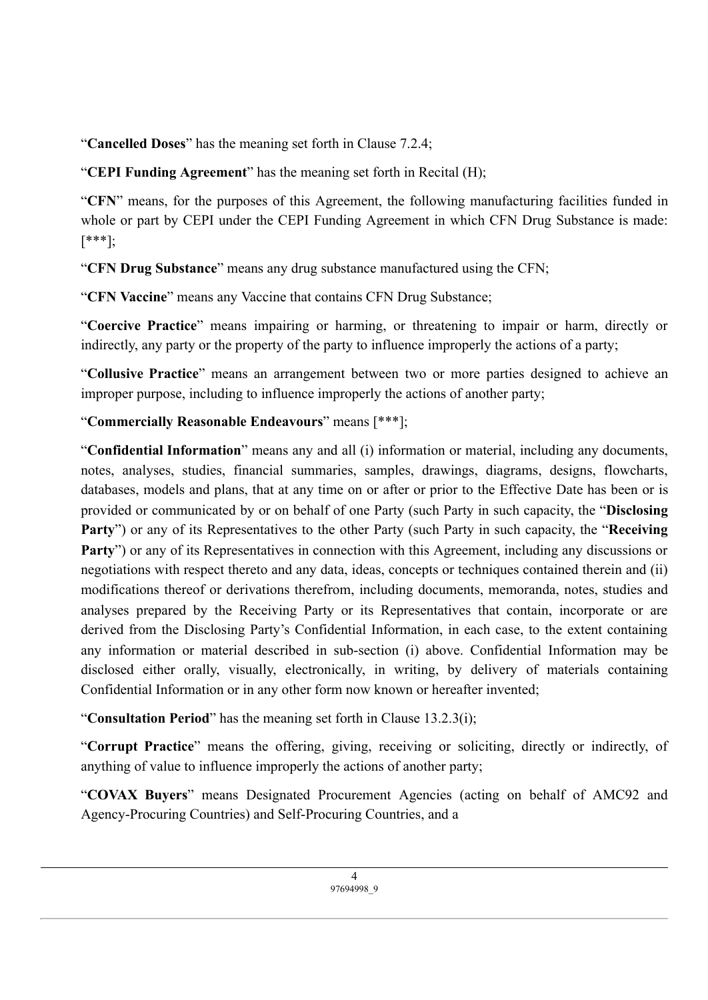"**Cancelled Doses**" has the meaning set forth in Clause 7.2.4;

"**CEPI Funding Agreement**" has the meaning set forth in Recital (H);

"**CFN**" means, for the purposes of this Agreement, the following manufacturing facilities funded in whole or part by CEPI under the CEPI Funding Agreement in which CFN Drug Substance is made: [\*\*\*];

"**CFN Drug Substance**" means any drug substance manufactured using the CFN;

"**CFN Vaccine**" means any Vaccine that contains CFN Drug Substance;

"**Coercive Practice**" means impairing or harming, or threatening to impair or harm, directly or indirectly, any party or the property of the party to influence improperly the actions of a party;

"**Collusive Practice**" means an arrangement between two or more parties designed to achieve an improper purpose, including to influence improperly the actions of another party;

# "**Commercially Reasonable Endeavours**" means [\*\*\*];

"**Confidential Information**" means any and all (i) information or material, including any documents, notes, analyses, studies, financial summaries, samples, drawings, diagrams, designs, flowcharts, databases, models and plans, that at any time on or after or prior to the Effective Date has been or is provided or communicated by or on behalf of one Party (such Party in such capacity, the "**Disclosing Party**") or any of its Representatives to the other Party (such Party in such capacity, the "**Receiving Party**") or any of its Representatives in connection with this Agreement, including any discussions or negotiations with respect thereto and any data, ideas, concepts or techniques contained therein and (ii) modifications thereof or derivations therefrom, including documents, memoranda, notes, studies and analyses prepared by the Receiving Party or its Representatives that contain, incorporate or are derived from the Disclosing Party's Confidential Information, in each case, to the extent containing any information or material described in sub-section (i) above. Confidential Information may be disclosed either orally, visually, electronically, in writing, by delivery of materials containing Confidential Information or in any other form now known or hereafter invented;

"**Consultation Period**" has the meaning set forth in Clause 13.2.3(i);

"**Corrupt Practice**" means the offering, giving, receiving or soliciting, directly or indirectly, of anything of value to influence improperly the actions of another party;

"**COVAX Buyers**" means Designated Procurement Agencies (acting on behalf of AMC92 and Agency-Procuring Countries) and Self-Procuring Countries, and a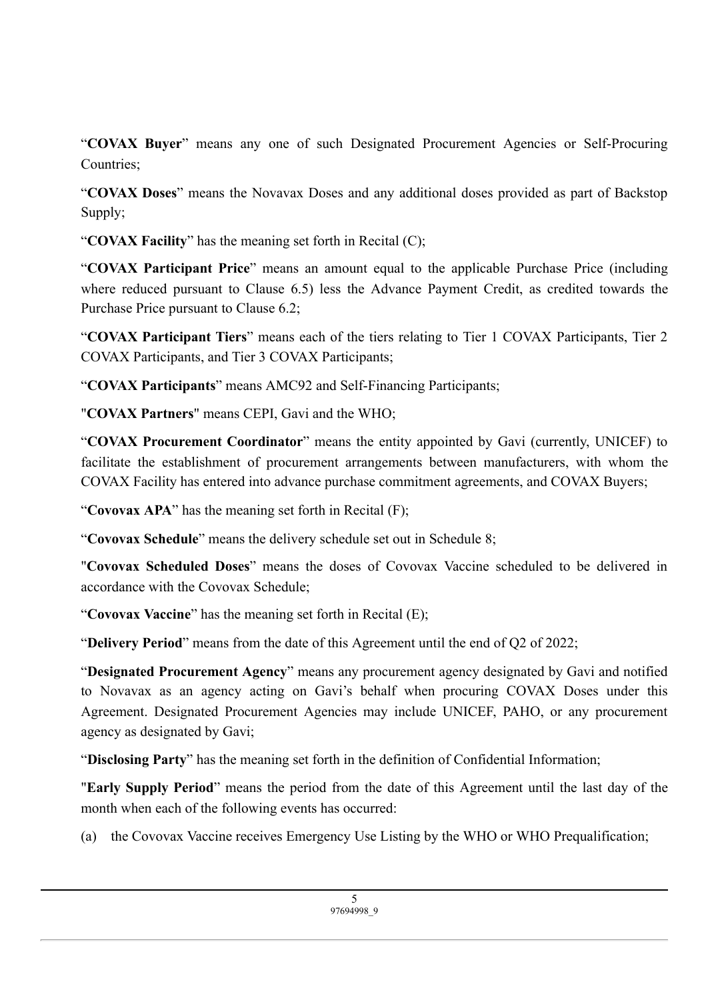"**COVAX Buyer**" means any one of such Designated Procurement Agencies or Self-Procuring Countries:

"**COVAX Doses**" means the Novavax Doses and any additional doses provided as part of Backstop Supply;

"**COVAX Facility**" has the meaning set forth in Recital (C);

"**COVAX Participant Price**" means an amount equal to the applicable Purchase Price (including where reduced pursuant to Clause 6.5) less the Advance Payment Credit, as credited towards the Purchase Price pursuant to Clause 6.2;

"**COVAX Participant Tiers**" means each of the tiers relating to Tier 1 COVAX Participants, Tier 2 COVAX Participants, and Tier 3 COVAX Participants;

"**COVAX Participants**" means AMC92 and Self-Financing Participants;

"**COVAX Partners**" means CEPI, Gavi and the WHO;

"**COVAX Procurement Coordinator**" means the entity appointed by Gavi (currently, UNICEF) to facilitate the establishment of procurement arrangements between manufacturers, with whom the COVAX Facility has entered into advance purchase commitment agreements, and COVAX Buyers;

"**Covovax APA**" has the meaning set forth in Recital (F);

"**Covovax Schedule**" means the delivery schedule set out in Schedule 8;

"**Covovax Scheduled Doses**" means the doses of Covovax Vaccine scheduled to be delivered in accordance with the Covovax Schedule;

"**Covovax Vaccine**" has the meaning set forth in Recital (E);

"**Delivery Period**" means from the date of this Agreement until the end of Q2 of 2022;

"**Designated Procurement Agency**" means any procurement agency designated by Gavi and notified to Novavax as an agency acting on Gavi's behalf when procuring COVAX Doses under this Agreement. Designated Procurement Agencies may include UNICEF, PAHO, or any procurement agency as designated by Gavi;

"**Disclosing Party**" has the meaning set forth in the definition of Confidential Information;

"**Early Supply Period**" means the period from the date of this Agreement until the last day of the month when each of the following events has occurred:

(a) the Covovax Vaccine receives Emergency Use Listing by the WHO or WHO Prequalification;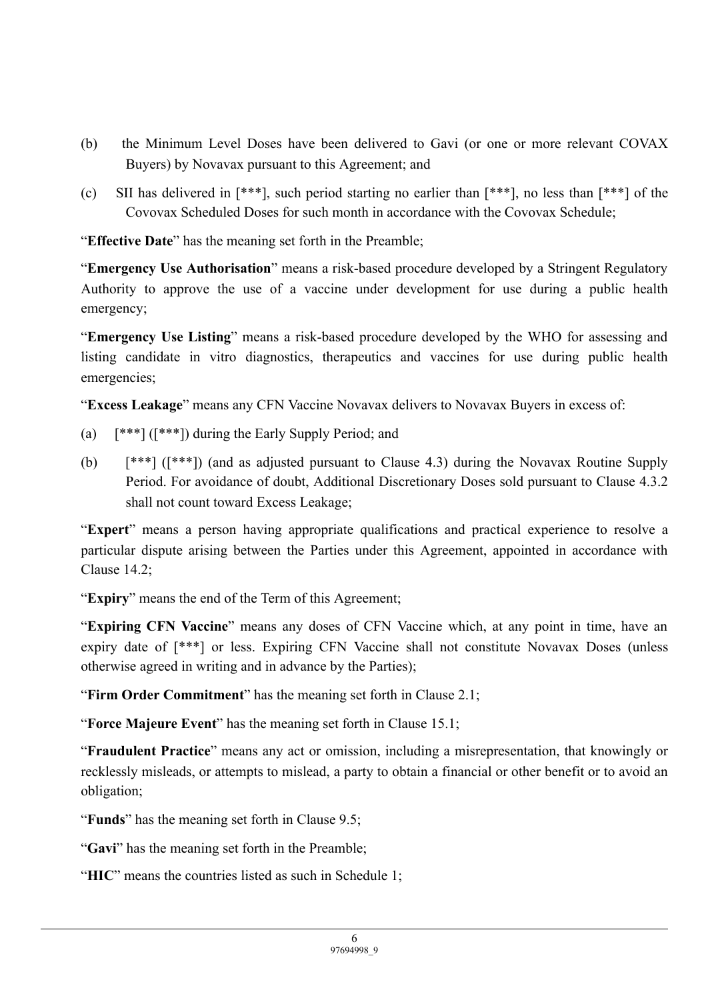- (b) the Minimum Level Doses have been delivered to Gavi (or one or more relevant COVAX Buyers) by Novavax pursuant to this Agreement; and
- (c) SII has delivered in [\*\*\*], such period starting no earlier than [\*\*\*], no less than [\*\*\*] of the Covovax Scheduled Doses for such month in accordance with the Covovax Schedule;

"**Effective Date**" has the meaning set forth in the Preamble;

"**Emergency Use Authorisation**" means a risk-based procedure developed by a Stringent Regulatory Authority to approve the use of a vaccine under development for use during a public health emergency;

"**Emergency Use Listing**" means a risk-based procedure developed by the WHO for assessing and listing candidate in vitro diagnostics, therapeutics and vaccines for use during public health emergencies;

"**Excess Leakage**" means any CFN Vaccine Novavax delivers to Novavax Buyers in excess of:

- (a) [\*\*\*] ([\*\*\*]) during the Early Supply Period; and
- (b) [\*\*\*] ([\*\*\*]) (and as adjusted pursuant to Clause 4.3) during the Novavax Routine Supply Period. For avoidance of doubt, Additional Discretionary Doses sold pursuant to Clause 4.3.2 shall not count toward Excess Leakage;

"**Expert**" means a person having appropriate qualifications and practical experience to resolve a particular dispute arising between the Parties under this Agreement, appointed in accordance with Clause 14.2;

"**Expiry**" means the end of the Term of this Agreement;

"**Expiring CFN Vaccine**" means any doses of CFN Vaccine which, at any point in time, have an expiry date of  $[***]$  or less. Expiring CFN Vaccine shall not constitute Novavax Doses (unless otherwise agreed in writing and in advance by the Parties);

"**Firm Order Commitment**" has the meaning set forth in Clause 2.1;

"**Force Majeure Event**" has the meaning set forth in Clause 15.1;

"**Fraudulent Practice**" means any act or omission, including a misrepresentation, that knowingly or recklessly misleads, or attempts to mislead, a party to obtain a financial or other benefit or to avoid an obligation;

"**Funds**" has the meaning set forth in Clause 9.5;

"**Gavi**" has the meaning set forth in the Preamble;

"**HIC**" means the countries listed as such in Schedule 1;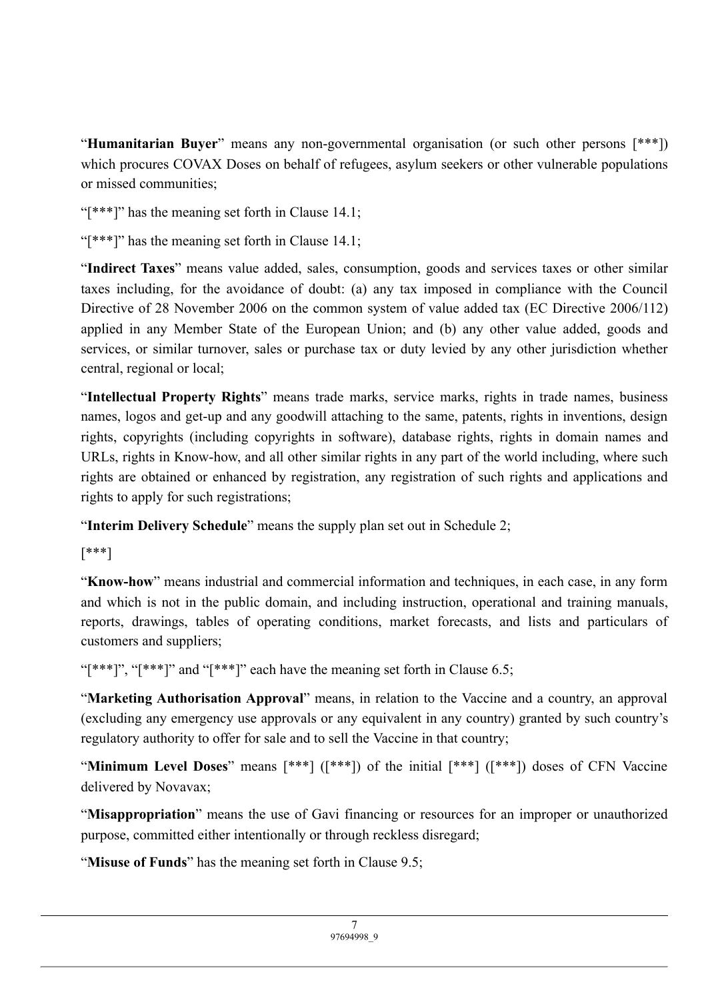"**Humanitarian Buyer**" means any non-governmental organisation (or such other persons [\*\*\*]) which procures COVAX Doses on behalf of refugees, asylum seekers or other vulnerable populations or missed communities;

"[\*\*\*]" has the meaning set forth in Clause 14.1;

" $[***"]$ " has the meaning set forth in Clause 14.1;

"**Indirect Taxes**" means value added, sales, consumption, goods and services taxes or other similar taxes including, for the avoidance of doubt: (a) any tax imposed in compliance with the Council Directive of 28 November 2006 on the common system of value added tax (EC Directive 2006/112) applied in any Member State of the European Union; and (b) any other value added, goods and services, or similar turnover, sales or purchase tax or duty levied by any other jurisdiction whether central, regional or local;

"**Intellectual Property Rights**" means trade marks, service marks, rights in trade names, business names, logos and get-up and any goodwill attaching to the same, patents, rights in inventions, design rights, copyrights (including copyrights in software), database rights, rights in domain names and URLs, rights in Know-how, and all other similar rights in any part of the world including, where such rights are obtained or enhanced by registration, any registration of such rights and applications and rights to apply for such registrations;

"**Interim Delivery Schedule**" means the supply plan set out in Schedule 2;

[\*\*\*]

"**Know-how**" means industrial and commercial information and techniques, in each case, in any form and which is not in the public domain, and including instruction, operational and training manuals, reports, drawings, tables of operating conditions, market forecasts, and lists and particulars of customers and suppliers;

"[\*\*\*]", "[\*\*\*]" and "[\*\*\*]" each have the meaning set forth in Clause 6.5;

"**Marketing Authorisation Approval**" means, in relation to the Vaccine and a country, an approval (excluding any emergency use approvals or any equivalent in any country) granted by such country's regulatory authority to offer for sale and to sell the Vaccine in that country;

"**Minimum Level Doses**" means [\*\*\*] ([\*\*\*]) of the initial [\*\*\*] ([\*\*\*]) doses of CFN Vaccine delivered by Novavax;

"**Misappropriation**" means the use of Gavi financing or resources for an improper or unauthorized purpose, committed either intentionally or through reckless disregard;

"**Misuse of Funds**" has the meaning set forth in Clause 9.5;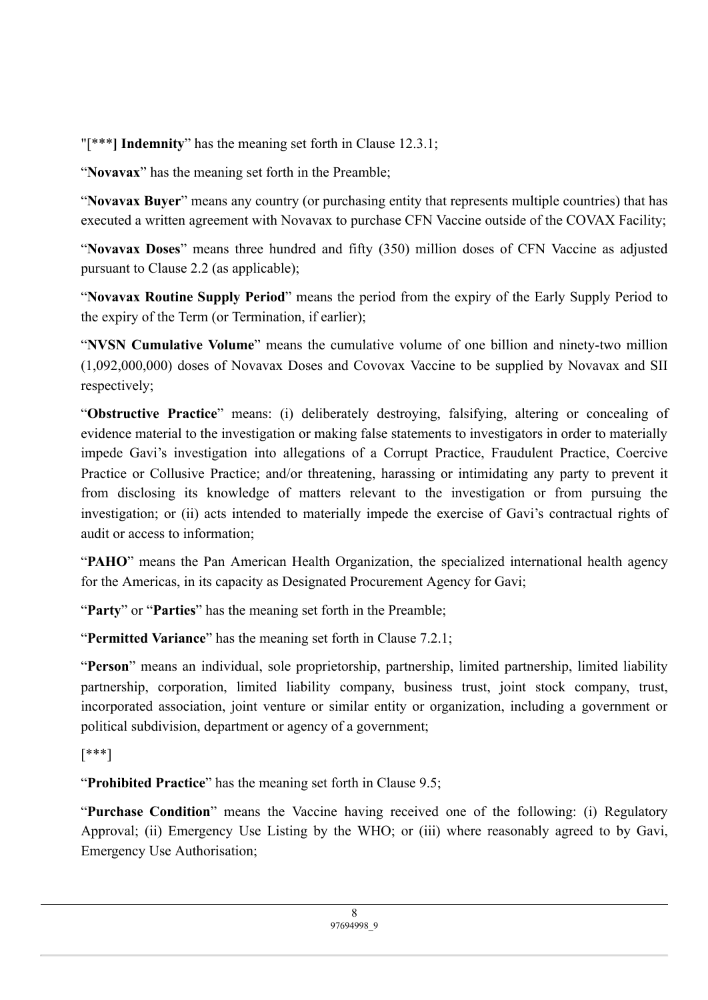"[\*\*\***] Indemnity**" has the meaning set forth in Clause 12.3.1;

"**Novavax**" has the meaning set forth in the Preamble;

"**Novavax Buyer**" means any country (or purchasing entity that represents multiple countries) that has executed a written agreement with Novavax to purchase CFN Vaccine outside of the COVAX Facility;

"**Novavax Doses**" means three hundred and fifty (350) million doses of CFN Vaccine as adjusted pursuant to Clause 2.2 (as applicable);

"**Novavax Routine Supply Period**" means the period from the expiry of the Early Supply Period to the expiry of the Term (or Termination, if earlier);

"**NVSN Cumulative Volume**" means the cumulative volume of one billion and ninety-two million (1,092,000,000) doses of Novavax Doses and Covovax Vaccine to be supplied by Novavax and SII respectively;

"**Obstructive Practice**" means: (i) deliberately destroying, falsifying, altering or concealing of evidence material to the investigation or making false statements to investigators in order to materially impede Gavi's investigation into allegations of a Corrupt Practice, Fraudulent Practice, Coercive Practice or Collusive Practice; and/or threatening, harassing or intimidating any party to prevent it from disclosing its knowledge of matters relevant to the investigation or from pursuing the investigation; or (ii) acts intended to materially impede the exercise of Gavi's contractual rights of audit or access to information;

"**PAHO**" means the Pan American Health Organization, the specialized international health agency for the Americas, in its capacity as Designated Procurement Agency for Gavi;

"**Party**" or "**Parties**" has the meaning set forth in the Preamble;

"**Permitted Variance**" has the meaning set forth in Clause 7.2.1;

"**Person**" means an individual, sole proprietorship, partnership, limited partnership, limited liability partnership, corporation, limited liability company, business trust, joint stock company, trust, incorporated association, joint venture or similar entity or organization, including a government or political subdivision, department or agency of a government;

[\*\*\*]

"**Prohibited Practice**" has the meaning set forth in Clause 9.5;

"**Purchase Condition**" means the Vaccine having received one of the following: (i) Regulatory Approval; (ii) Emergency Use Listing by the WHO; or (iii) where reasonably agreed to by Gavi, Emergency Use Authorisation;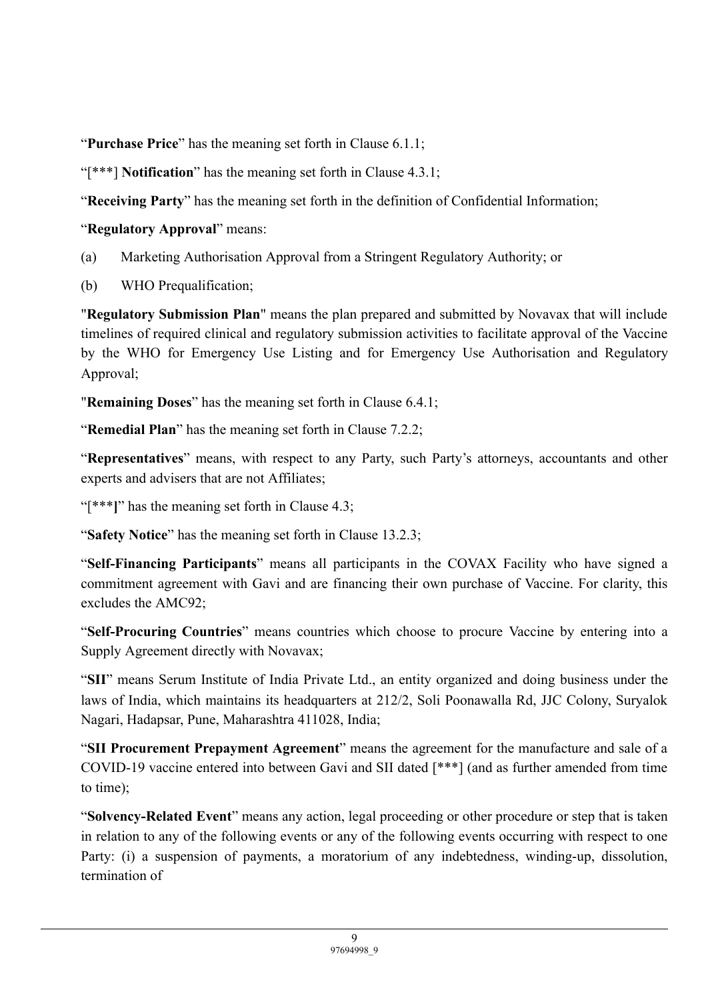"**Purchase Price**" has the meaning set forth in Clause 6.1.1;

"[\*\*\*] **Notification**" has the meaning set forth in Clause 4.3.1;

"**Receiving Party**" has the meaning set forth in the definition of Confidential Information;

"**Regulatory Approval**" means:

- (a) Marketing Authorisation Approval from a Stringent Regulatory Authority; or
- (b) WHO Prequalification;

"**Regulatory Submission Plan**" means the plan prepared and submitted by Novavax that will include timelines of required clinical and regulatory submission activities to facilitate approval of the Vaccine by the WHO for Emergency Use Listing and for Emergency Use Authorisation and Regulatory Approval;

"**Remaining Doses**" has the meaning set forth in Clause 6.4.1;

"**Remedial Plan**" has the meaning set forth in Clause 7.2.2;

"**Representatives**" means, with respect to any Party, such Party's attorneys, accountants and other experts and advisers that are not Affiliates;

"[\*\*\*]" has the meaning set forth in Clause 4.3;

"**Safety Notice**" has the meaning set forth in Clause 13.2.3;

"**Self-Financing Participants**" means all participants in the COVAX Facility who have signed a commitment agreement with Gavi and are financing their own purchase of Vaccine. For clarity, this excludes the AMC92;

"**Self-Procuring Countries**" means countries which choose to procure Vaccine by entering into a Supply Agreement directly with Novavax;

"**SII**" means Serum Institute of India Private Ltd., an entity organized and doing business under the laws of India, which maintains its headquarters at 212/2, Soli Poonawalla Rd, JJC Colony, Suryalok Nagari, Hadapsar, Pune, Maharashtra 411028, India;

"**SII Procurement Prepayment Agreement**" means the agreement for the manufacture and sale of a COVID-19 vaccine entered into between Gavi and SII dated [\*\*\*] (and as further amended from time to time);

"**Solvency-Related Event**" means any action, legal proceeding or other procedure or step that is taken in relation to any of the following events or any of the following events occurring with respect to one Party: (i) a suspension of payments, a moratorium of any indebtedness, winding-up, dissolution, termination of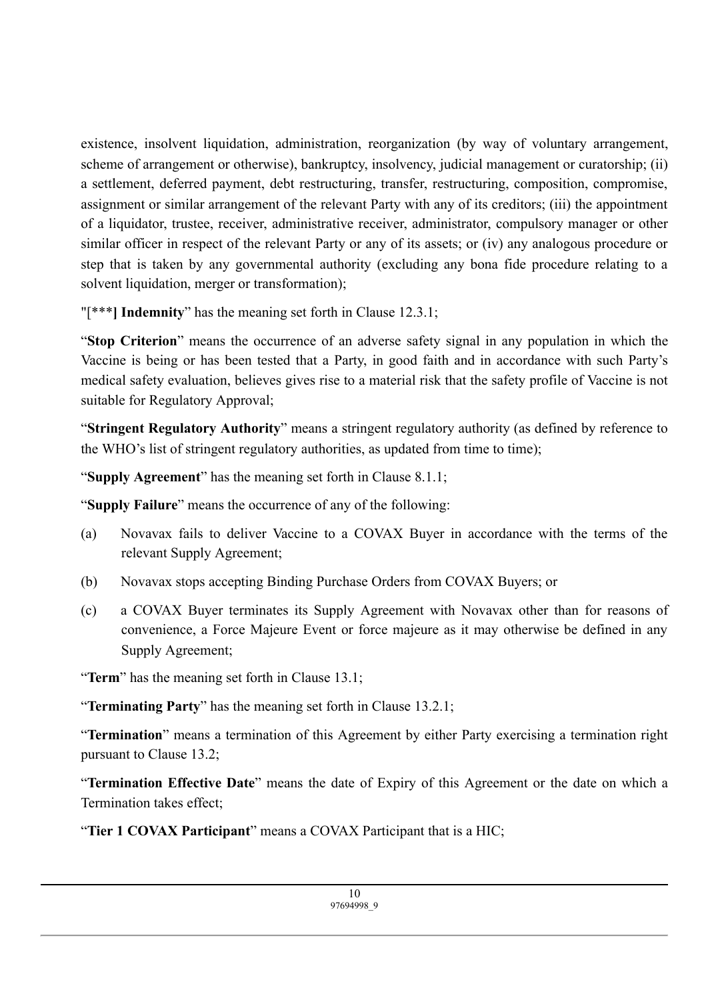existence, insolvent liquidation, administration, reorganization (by way of voluntary arrangement, scheme of arrangement or otherwise), bankruptcy, insolvency, judicial management or curatorship; (ii) a settlement, deferred payment, debt restructuring, transfer, restructuring, composition, compromise, assignment or similar arrangement of the relevant Party with any of its creditors; (iii) the appointment of a liquidator, trustee, receiver, administrative receiver, administrator, compulsory manager or other similar officer in respect of the relevant Party or any of its assets; or (iv) any analogous procedure or step that is taken by any governmental authority (excluding any bona fide procedure relating to a solvent liquidation, merger or transformation);

"[\*\*\***] Indemnity**" has the meaning set forth in Clause 12.3.1;

"**Stop Criterion**" means the occurrence of an adverse safety signal in any population in which the Vaccine is being or has been tested that a Party, in good faith and in accordance with such Party's medical safety evaluation, believes gives rise to a material risk that the safety profile of Vaccine is not suitable for Regulatory Approval;

"**Stringent Regulatory Authority**" means a stringent regulatory authority (as defined by reference to the WHO's list of stringent regulatory authorities, as updated from time to time);

"**Supply Agreement**" has the meaning set forth in Clause 8.1.1;

"**Supply Failure**" means the occurrence of any of the following:

- (a) Novavax fails to deliver Vaccine to a COVAX Buyer in accordance with the terms of the relevant Supply Agreement;
- (b) Novavax stops accepting Binding Purchase Orders from COVAX Buyers; or
- (c) a COVAX Buyer terminates its Supply Agreement with Novavax other than for reasons of convenience, a Force Majeure Event or force majeure as it may otherwise be defined in any Supply Agreement;

"**Term**" has the meaning set forth in Clause 13.1;

"**Terminating Party**" has the meaning set forth in Clause 13.2.1;

"**Termination**" means a termination of this Agreement by either Party exercising a termination right pursuant to Clause 13.2;

"**Termination Effective Date**" means the date of Expiry of this Agreement or the date on which a Termination takes effect;

"**Tier 1 COVAX Participant**" means a COVAX Participant that is a HIC;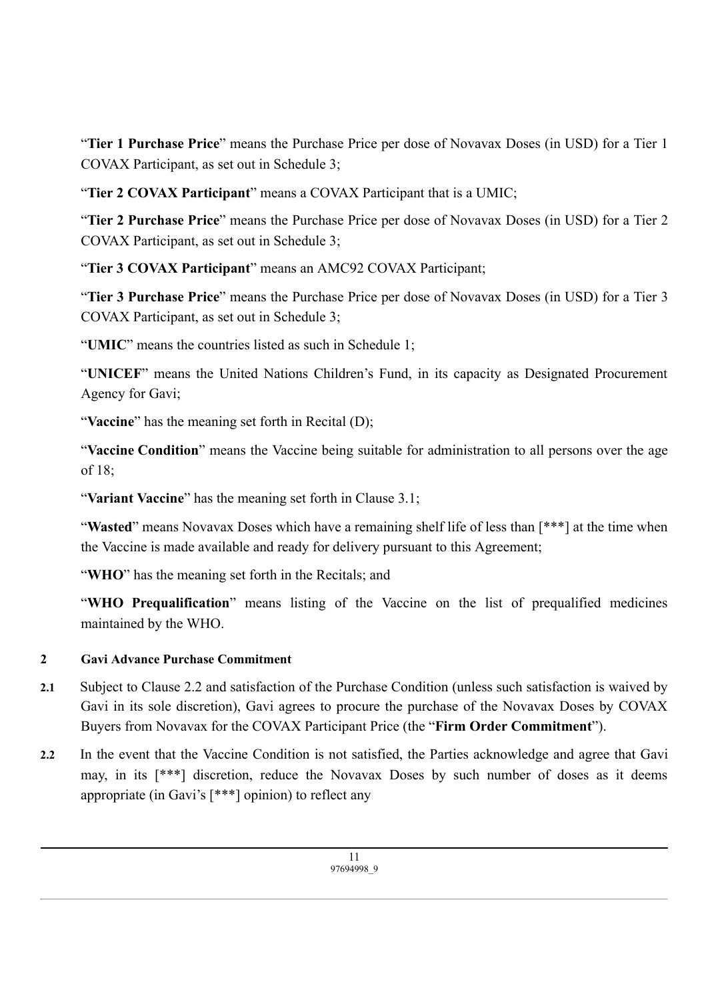"**Tier 1 Purchase Price**" means the Purchase Price per dose of Novavax Doses (in USD) for a Tier 1 COVAX Participant, as set out in Schedule 3;

"**Tier 2 COVAX Participant**" means a COVAX Participant that is a UMIC;

"**Tier 2 Purchase Price**" means the Purchase Price per dose of Novavax Doses (in USD) for a Tier 2 COVAX Participant, as set out in Schedule 3;

"**Tier 3 COVAX Participant**" means an AMC92 COVAX Participant;

"**Tier 3 Purchase Price**" means the Purchase Price per dose of Novavax Doses (in USD) for a Tier 3 COVAX Participant, as set out in Schedule 3;

"**UMIC**" means the countries listed as such in Schedule 1;

"**UNICEF**" means the United Nations Children's Fund, in its capacity as Designated Procurement Agency for Gavi;

"**Vaccine**" has the meaning set forth in Recital (D);

"**Vaccine Condition**" means the Vaccine being suitable for administration to all persons over the age of 18;

"**Variant Vaccine**" has the meaning set forth in Clause 3.1;

"Wasted" means Novavax Doses which have a remaining shelf life of less than [\*\*\*] at the time when the Vaccine is made available and ready for delivery pursuant to this Agreement;

"**WHO**" has the meaning set forth in the Recitals; and

"**WHO Prequalification**" means listing of the Vaccine on the list of prequalified medicines maintained by the WHO.

## **2 Gavi Advance Purchase Commitment**

- **2.1** Subject to Clause 2.2 and satisfaction of the Purchase Condition (unless such satisfaction is waived by Gavi in its sole discretion), Gavi agrees to procure the purchase of the Novavax Doses by COVAX Buyers from Novavax for the COVAX Participant Price (the "**Firm Order Commitment**").
- **2.2** In the event that the Vaccine Condition is not satisfied, the Parties acknowledge and agree that Gavi may, in its [\*\*\*] discretion, reduce the Novavax Doses by such number of doses as it deems appropriate (in Gavi's [\*\*\*] opinion) to reflect any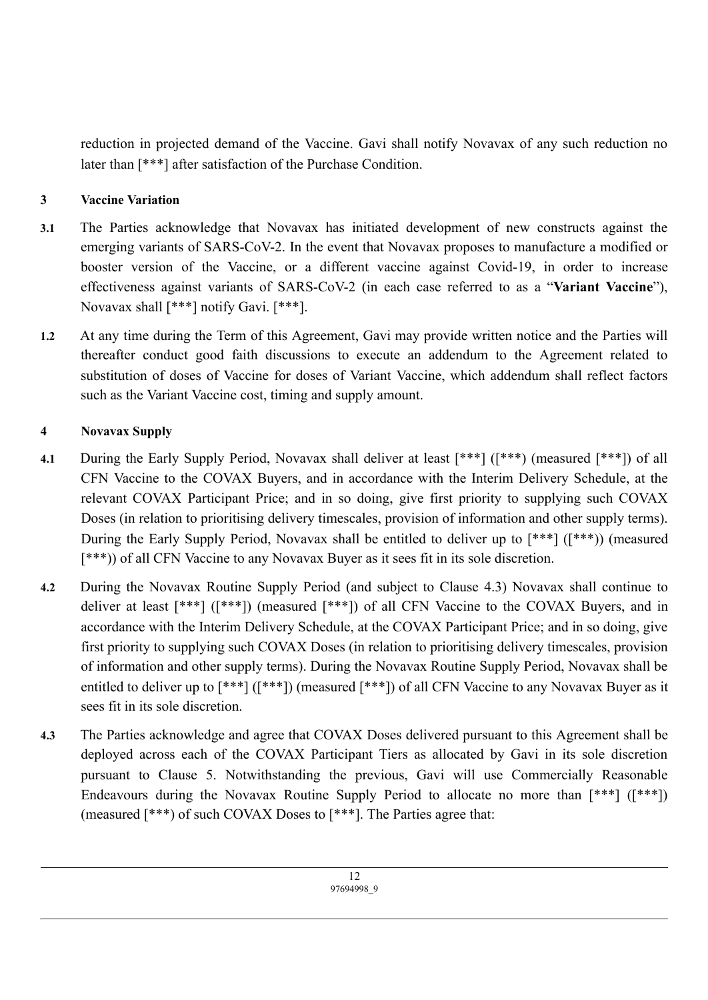reduction in projected demand of the Vaccine. Gavi shall notify Novavax of any such reduction no later than [\*\*\*] after satisfaction of the Purchase Condition.

## **3 Vaccine Variation**

- **3.1** The Parties acknowledge that Novavax has initiated development of new constructs against the emerging variants of SARS-CoV-2. In the event that Novavax proposes to manufacture a modified or booster version of the Vaccine, or a different vaccine against Covid-19, in order to increase effectiveness against variants of SARS-CoV-2 (in each case referred to as a "**Variant Vaccine**"), Novavax shall [\*\*\*] notify Gavi. [\*\*\*].
- **1.2** At any time during the Term of this Agreement, Gavi may provide written notice and the Parties will thereafter conduct good faith discussions to execute an addendum to the Agreement related to substitution of doses of Vaccine for doses of Variant Vaccine, which addendum shall reflect factors such as the Variant Vaccine cost, timing and supply amount.

## **4 Novavax Supply**

- **4.1** During the Early Supply Period, Novavax shall deliver at least [\*\*\*] ([\*\*\*) (measured [\*\*\*]) of all CFN Vaccine to the COVAX Buyers, and in accordance with the Interim Delivery Schedule, at the relevant COVAX Participant Price; and in so doing, give first priority to supplying such COVAX Doses (in relation to prioritising delivery timescales, provision of information and other supply terms). During the Early Supply Period, Novavax shall be entitled to deliver up to [\*\*\*] ([\*\*\*)) (measured [\*\*\*)) of all CFN Vaccine to any Novavax Buyer as it sees fit in its sole discretion.
- **4.2** During the Novavax Routine Supply Period (and subject to Clause 4.3) Novavax shall continue to deliver at least [\*\*\*] ([\*\*\*]) (measured [\*\*\*]) of all CFN Vaccine to the COVAX Buyers, and in accordance with the Interim Delivery Schedule, at the COVAX Participant Price; and in so doing, give first priority to supplying such COVAX Doses (in relation to prioritising delivery timescales, provision of information and other supply terms). During the Novavax Routine Supply Period, Novavax shall be entitled to deliver up to [\*\*\*] ([\*\*\*]) (measured [\*\*\*]) of all CFN Vaccine to any Novavax Buyer as it sees fit in its sole discretion.
- **4.3** The Parties acknowledge and agree that COVAX Doses delivered pursuant to this Agreement shall be deployed across each of the COVAX Participant Tiers as allocated by Gavi in its sole discretion pursuant to Clause 5. Notwithstanding the previous, Gavi will use Commercially Reasonable Endeavours during the Novavax Routine Supply Period to allocate no more than [\*\*\*] ([\*\*\*]) (measured [\*\*\*) of such COVAX Doses to [\*\*\*]. The Parties agree that: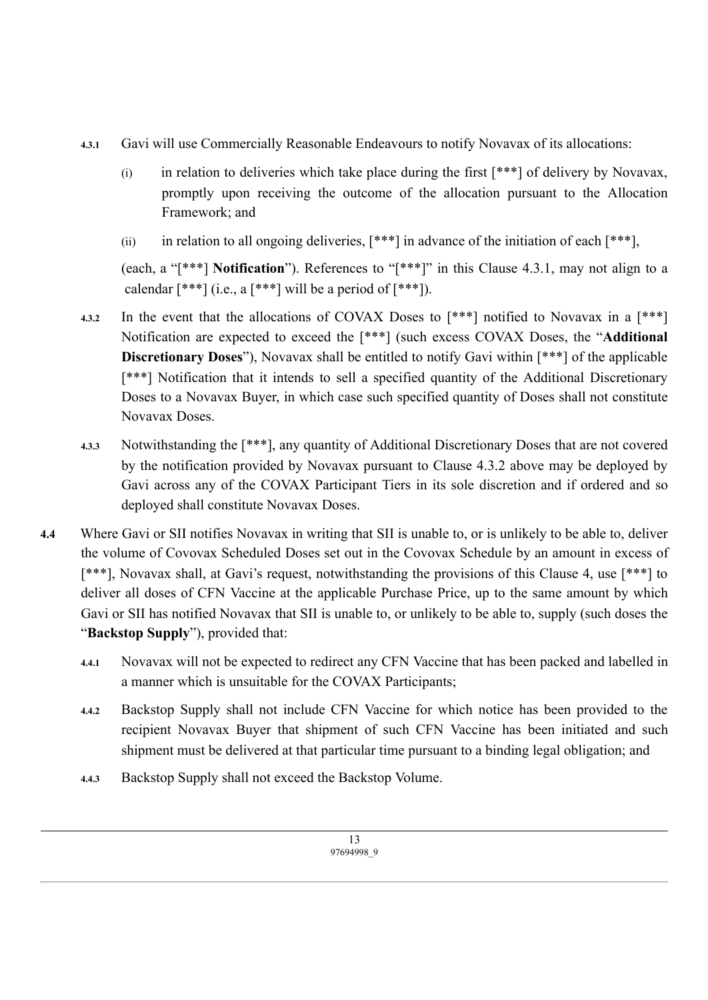- **4.3.1** Gavi will use Commercially Reasonable Endeavours to notify Novavax of its allocations:
	- (i) in relation to deliveries which take place during the first  $[***]$  of delivery by Novavax, promptly upon receiving the outcome of the allocation pursuant to the Allocation Framework; and
	- (ii) in relation to all ongoing deliveries,  $[***]$  in advance of the initiation of each  $[***]$ ,

(each, a "[\*\*\*] **Notification**"). References to "[\*\*\*]" in this Clause 4.3.1, may not align to a calendar  $[***]$  (i.e., a  $[***]$  will be a period of  $[***]$ ).

- **4.3.2** In the event that the allocations of COVAX Doses to [\*\*\*] notified to Novavax in a [\*\*\*] Notification are expected to exceed the [\*\*\*] (such excess COVAX Doses, the "**Additional Discretionary Doses**"), Novavax shall be entitled to notify Gavi within [\*\*\*] of the applicable [\*\*\*] Notification that it intends to sell a specified quantity of the Additional Discretionary Doses to a Novavax Buyer, in which case such specified quantity of Doses shall not constitute Novavax Doses.
- **4.3.3** Notwithstanding the [\*\*\*], any quantity of Additional Discretionary Doses that are not covered by the notification provided by Novavax pursuant to Clause 4.3.2 above may be deployed by Gavi across any of the COVAX Participant Tiers in its sole discretion and if ordered and so deployed shall constitute Novavax Doses.
- **4.4** Where Gavi or SII notifies Novavax in writing that SII is unable to, or is unlikely to be able to, deliver the volume of Covovax Scheduled Doses set out in the Covovax Schedule by an amount in excess of [\*\*\*], Novavax shall, at Gavi's request, notwithstanding the provisions of this Clause 4, use [\*\*\*] to deliver all doses of CFN Vaccine at the applicable Purchase Price, up to the same amount by which Gavi or SII has notified Novavax that SII is unable to, or unlikely to be able to, supply (such doses the "**Backstop Supply**"), provided that:
	- **4.4.1** Novavax will not be expected to redirect any CFN Vaccine that has been packed and labelled in a manner which is unsuitable for the COVAX Participants;
	- **4.4.2** Backstop Supply shall not include CFN Vaccine for which notice has been provided to the recipient Novavax Buyer that shipment of such CFN Vaccine has been initiated and such shipment must be delivered at that particular time pursuant to a binding legal obligation; and
	- **4.4.3** Backstop Supply shall not exceed the Backstop Volume.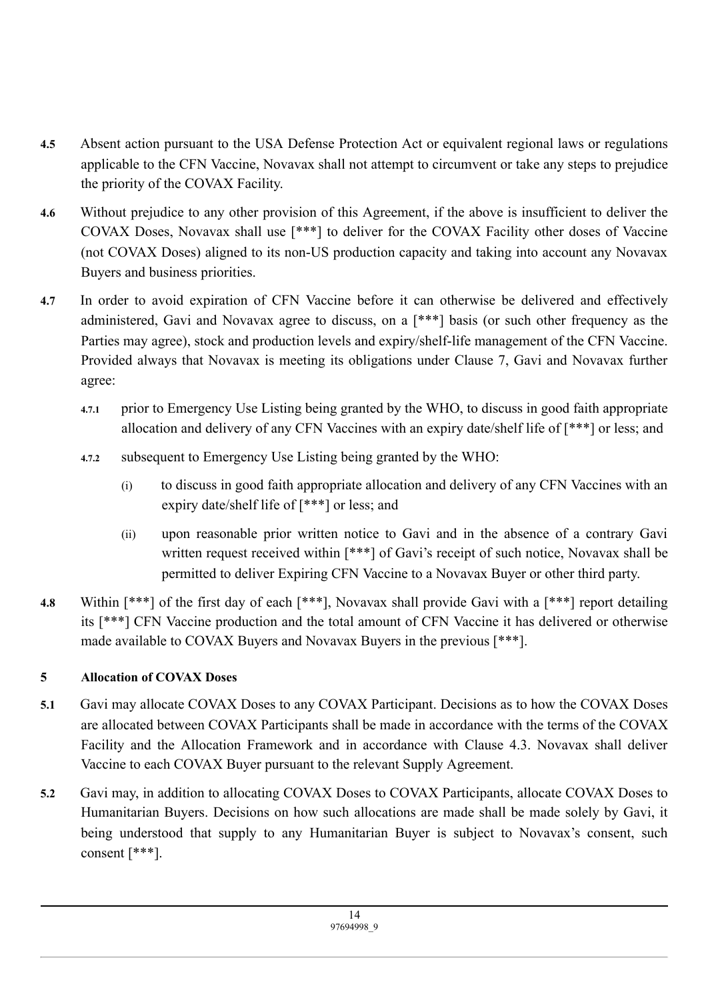- **4.5** Absent action pursuant to the USA Defense Protection Act or equivalent regional laws or regulations applicable to the CFN Vaccine, Novavax shall not attempt to circumvent or take any steps to prejudice the priority of the COVAX Facility.
- **4.6** Without prejudice to any other provision of this Agreement, if the above is insufficient to deliver the COVAX Doses, Novavax shall use [\*\*\*] to deliver for the COVAX Facility other doses of Vaccine (not COVAX Doses) aligned to its non-US production capacity and taking into account any Novavax Buyers and business priorities.
- **4.7** In order to avoid expiration of CFN Vaccine before it can otherwise be delivered and effectively administered, Gavi and Novavax agree to discuss, on a [\*\*\*] basis (or such other frequency as the Parties may agree), stock and production levels and expiry/shelf-life management of the CFN Vaccine. Provided always that Novavax is meeting its obligations under Clause 7, Gavi and Novavax further agree:
	- **4.7.1** prior to Emergency Use Listing being granted by the WHO, to discuss in good faith appropriate allocation and delivery of any CFN Vaccines with an expiry date/shelf life of [\*\*\*] or less; and
	- **4.7.2** subsequent to Emergency Use Listing being granted by the WHO:
		- (i) to discuss in good faith appropriate allocation and delivery of any CFN Vaccines with an expiry date/shelf life of [\*\*\*] or less; and
		- (ii) upon reasonable prior written notice to Gavi and in the absence of a contrary Gavi written request received within [\*\*\*] of Gavi's receipt of such notice, Novavax shall be permitted to deliver Expiring CFN Vaccine to a Novavax Buyer or other third party.
- **4.8** Within [\*\*\*] of the first day of each [\*\*\*], Novavax shall provide Gavi with a [\*\*\*] report detailing its [\*\*\*] CFN Vaccine production and the total amount of CFN Vaccine it has delivered or otherwise made available to COVAX Buyers and Novavax Buyers in the previous [\*\*\*].

## **5 Allocation of COVAX Doses**

- **5.1** Gavi may allocate COVAX Doses to any COVAX Participant. Decisions as to how the COVAX Doses are allocated between COVAX Participants shall be made in accordance with the terms of the COVAX Facility and the Allocation Framework and in accordance with Clause 4.3. Novavax shall deliver Vaccine to each COVAX Buyer pursuant to the relevant Supply Agreement.
- **5.2** Gavi may, in addition to allocating COVAX Doses to COVAX Participants, allocate COVAX Doses to Humanitarian Buyers. Decisions on how such allocations are made shall be made solely by Gavi, it being understood that supply to any Humanitarian Buyer is subject to Novavax's consent, such consent [\*\*\*].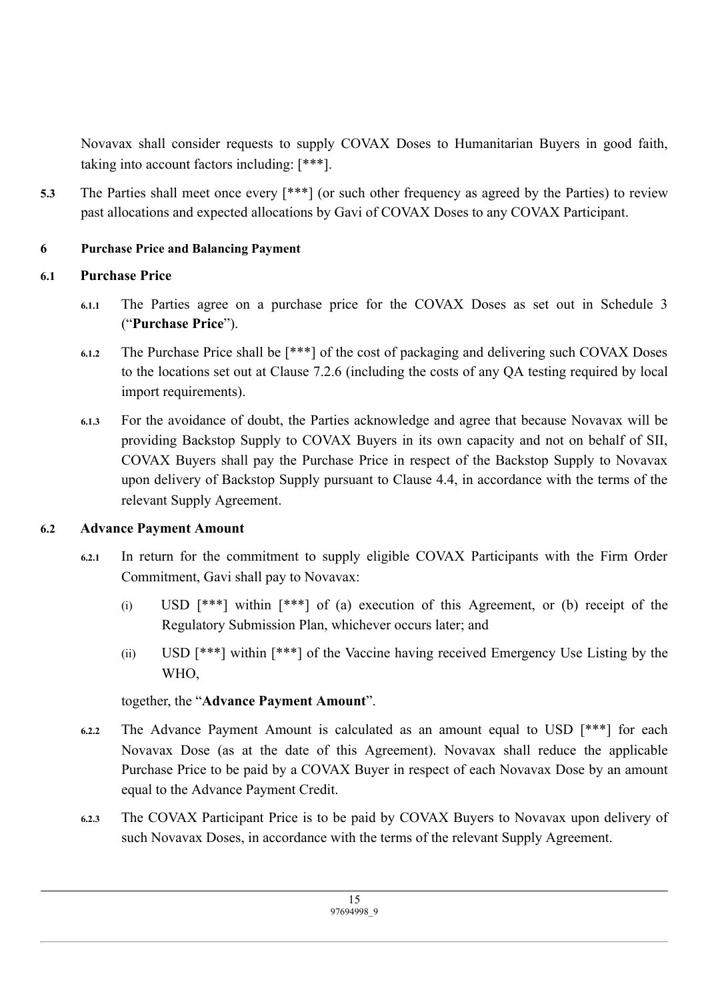Novavax shall consider requests to supply COVAX Doses to Humanitarian Buyers in good faith, taking into account factors including: [\*\*\*].

**5.3** The Parties shall meet once every [\*\*\*] (or such other frequency as agreed by the Parties) to review past allocations and expected allocations by Gavi of COVAX Doses to any COVAX Participant.

## **6 Purchase Price and Balancing Payment**

## **6.1 Purchase Price**

- **6.1.1** The Parties agree on a purchase price for the COVAX Doses as set out in Schedule 3 ("**Purchase Price**").
- **6.1.2** The Purchase Price shall be [\*\*\*] of the cost of packaging and delivering such COVAX Doses to the locations set out at Clause 7.2.6 (including the costs of any QA testing required by local import requirements).
- **6.1.3** For the avoidance of doubt, the Parties acknowledge and agree that because Novavax will be providing Backstop Supply to COVAX Buyers in its own capacity and not on behalf of SII, COVAX Buyers shall pay the Purchase Price in respect of the Backstop Supply to Novavax upon delivery of Backstop Supply pursuant to Clause 4.4, in accordance with the terms of the relevant Supply Agreement.

## **6.2 Advance Payment Amount**

- **6.2.1** In return for the commitment to supply eligible COVAX Participants with the Firm Order Commitment, Gavi shall pay to Novavax:
	- (i) USD [\*\*\*] within [\*\*\*] of (a) execution of this Agreement, or (b) receipt of the Regulatory Submission Plan, whichever occurs later; and
	- (ii) USD [\*\*\*] within [\*\*\*] of the Vaccine having received Emergency Use Listing by the WHO,

## together, the "**Advance Payment Amount**".

- **6.2.2** The Advance Payment Amount is calculated as an amount equal to USD [\*\*\*] for each Novavax Dose (as at the date of this Agreement). Novavax shall reduce the applicable Purchase Price to be paid by a COVAX Buyer in respect of each Novavax Dose by an amount equal to the Advance Payment Credit.
- **6.2.3** The COVAX Participant Price is to be paid by COVAX Buyers to Novavax upon delivery of such Novavax Doses, in accordance with the terms of the relevant Supply Agreement.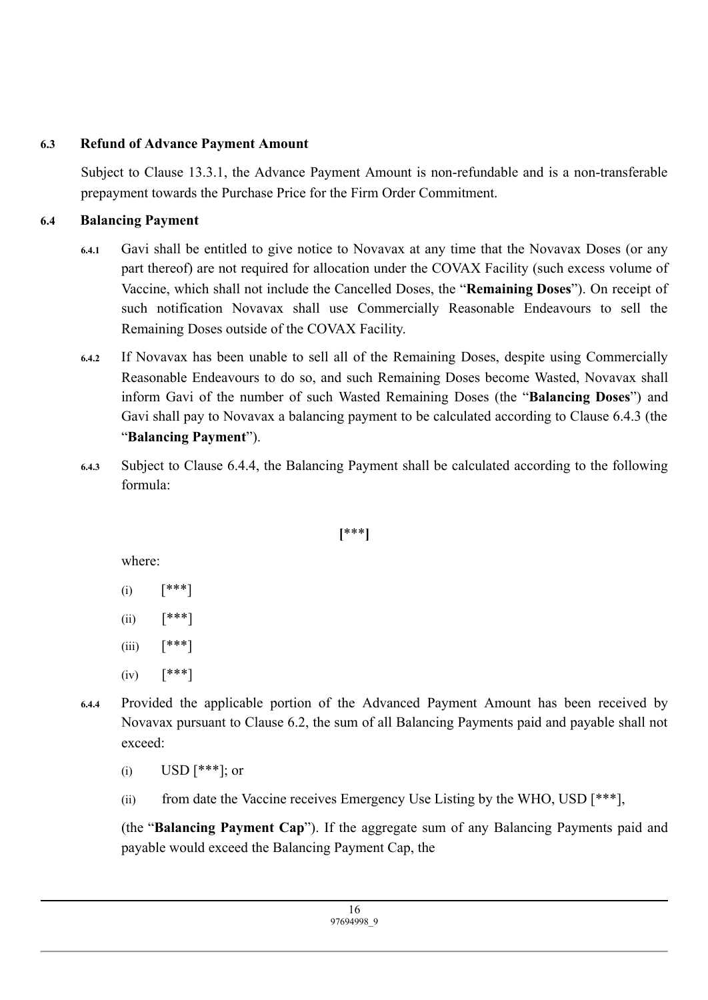## **6.3 Refund of Advance Payment Amount**

Subject to Clause 13.3.1, the Advance Payment Amount is non-refundable and is a non-transferable prepayment towards the Purchase Price for the Firm Order Commitment.

## **6.4 Balancing Payment**

- **6.4.1** Gavi shall be entitled to give notice to Novavax at any time that the Novavax Doses (or any part thereof) are not required for allocation under the COVAX Facility (such excess volume of Vaccine, which shall not include the Cancelled Doses, the "**Remaining Doses**"). On receipt of such notification Novavax shall use Commercially Reasonable Endeavours to sell the Remaining Doses outside of the COVAX Facility.
- **6.4.2** If Novavax has been unable to sell all of the Remaining Doses, despite using Commercially Reasonable Endeavours to do so, and such Remaining Doses become Wasted, Novavax shall inform Gavi of the number of such Wasted Remaining Doses (the "**Balancing Doses**") and Gavi shall pay to Novavax a balancing payment to be calculated according to Clause 6.4.3 (the "**Balancing Payment**").
- **6.4.3** Subject to Clause 6.4.4, the Balancing Payment shall be calculated according to the following formula:

## **[**\*\*\***]**

where:

- $(i)$   $[***!]$
- (ii)  $[***!]$
- (iii)  $[***]$
- $(iv)$   $[***!]$
- **6.4.4** Provided the applicable portion of the Advanced Payment Amount has been received by Novavax pursuant to Clause 6.2, the sum of all Balancing Payments paid and payable shall not exceed:
	- (i)  $USD$  [\*\*\*]; or
	- (ii) from date the Vaccine receives Emergency Use Listing by the WHO, USD  $[***]$ ,

(the "**Balancing Payment Cap**"). If the aggregate sum of any Balancing Payments paid and payable would exceed the Balancing Payment Cap, the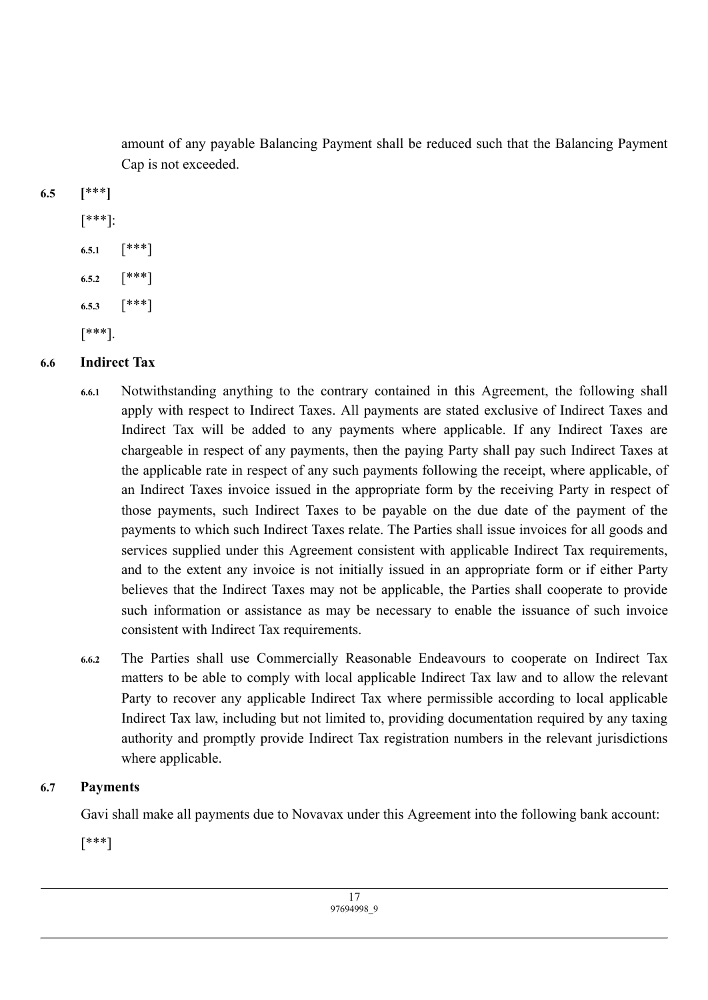amount of any payable Balancing Payment shall be reduced such that the Balancing Payment Cap is not exceeded.

**6.5 [**\*\*\***]**

# [\*\*\*]:

- **6.5.1** [\*\*\*]
- **6.5.2** [\*\*\*]
- **6.5.3** [\*\*\*]

[\*\*\*].

# **6.6 Indirect Tax**

- **6.6.1** Notwithstanding anything to the contrary contained in this Agreement, the following shall apply with respect to Indirect Taxes. All payments are stated exclusive of Indirect Taxes and Indirect Tax will be added to any payments where applicable. If any Indirect Taxes are chargeable in respect of any payments, then the paying Party shall pay such Indirect Taxes at the applicable rate in respect of any such payments following the receipt, where applicable, of an Indirect Taxes invoice issued in the appropriate form by the receiving Party in respect of those payments, such Indirect Taxes to be payable on the due date of the payment of the payments to which such Indirect Taxes relate. The Parties shall issue invoices for all goods and services supplied under this Agreement consistent with applicable Indirect Tax requirements, and to the extent any invoice is not initially issued in an appropriate form or if either Party believes that the Indirect Taxes may not be applicable, the Parties shall cooperate to provide such information or assistance as may be necessary to enable the issuance of such invoice consistent with Indirect Tax requirements.
- **6.6.2** The Parties shall use Commercially Reasonable Endeavours to cooperate on Indirect Tax matters to be able to comply with local applicable Indirect Tax law and to allow the relevant Party to recover any applicable Indirect Tax where permissible according to local applicable Indirect Tax law, including but not limited to, providing documentation required by any taxing authority and promptly provide Indirect Tax registration numbers in the relevant jurisdictions where applicable.

## **6.7 Payments**

Gavi shall make all payments due to Novavax under this Agreement into the following bank account:

[\*\*\*]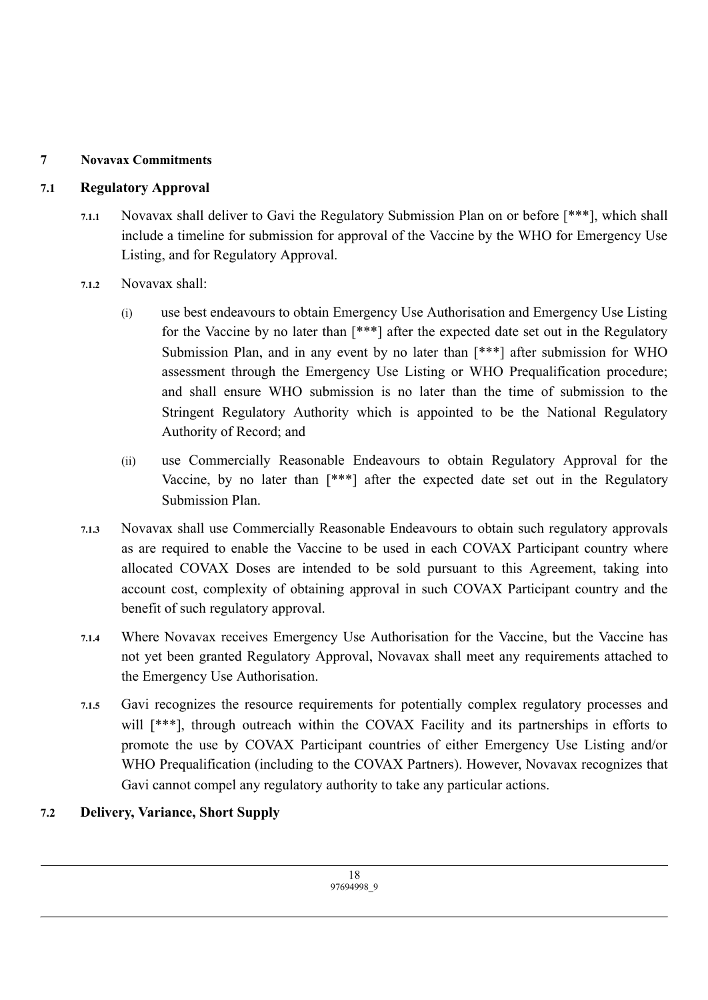## **7 Novavax Commitments**

## **7.1 Regulatory Approval**

- **7.1.1** Novavax shall deliver to Gavi the Regulatory Submission Plan on or before [\*\*\*], which shall include a timeline for submission for approval of the Vaccine by the WHO for Emergency Use Listing, and for Regulatory Approval.
- **7.1.2** Novavax shall:
	- (i) use best endeavours to obtain Emergency Use Authorisation and Emergency Use Listing for the Vaccine by no later than [\*\*\*] after the expected date set out in the Regulatory Submission Plan, and in any event by no later than [\*\*\*] after submission for WHO assessment through the Emergency Use Listing or WHO Prequalification procedure; and shall ensure WHO submission is no later than the time of submission to the Stringent Regulatory Authority which is appointed to be the National Regulatory Authority of Record; and
	- (ii) use Commercially Reasonable Endeavours to obtain Regulatory Approval for the Vaccine, by no later than [\*\*\*] after the expected date set out in the Regulatory Submission Plan.
- **7.1.3** Novavax shall use Commercially Reasonable Endeavours to obtain such regulatory approvals as are required to enable the Vaccine to be used in each COVAX Participant country where allocated COVAX Doses are intended to be sold pursuant to this Agreement, taking into account cost, complexity of obtaining approval in such COVAX Participant country and the benefit of such regulatory approval.
- **7.1.4** Where Novavax receives Emergency Use Authorisation for the Vaccine, but the Vaccine has not yet been granted Regulatory Approval, Novavax shall meet any requirements attached to the Emergency Use Authorisation.
- **7.1.5** Gavi recognizes the resource requirements for potentially complex regulatory processes and will  $[***]$ , through outreach within the COVAX Facility and its partnerships in efforts to promote the use by COVAX Participant countries of either Emergency Use Listing and/or WHO Prequalification (including to the COVAX Partners). However, Novavax recognizes that Gavi cannot compel any regulatory authority to take any particular actions.

## **7.2 Delivery, Variance, Short Supply**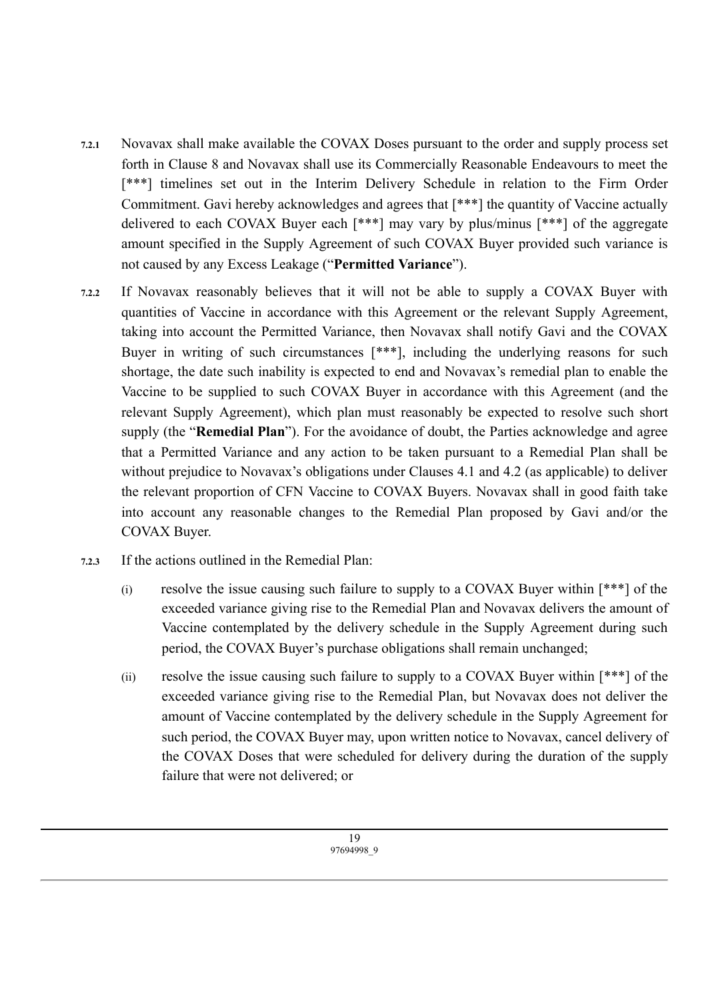- **7.2.1** Novavax shall make available the COVAX Doses pursuant to the order and supply process set forth in Clause 8 and Novavax shall use its Commercially Reasonable Endeavours to meet the [\*\*\*] timelines set out in the Interim Delivery Schedule in relation to the Firm Order Commitment. Gavi hereby acknowledges and agrees that [\*\*\*] the quantity of Vaccine actually delivered to each COVAX Buyer each [\*\*\*] may vary by plus/minus [\*\*\*] of the aggregate amount specified in the Supply Agreement of such COVAX Buyer provided such variance is not caused by any Excess Leakage ("**Permitted Variance**").
- **7.2.2** If Novavax reasonably believes that it will not be able to supply a COVAX Buyer with quantities of Vaccine in accordance with this Agreement or the relevant Supply Agreement, taking into account the Permitted Variance, then Novavax shall notify Gavi and the COVAX Buyer in writing of such circumstances [\*\*\*], including the underlying reasons for such shortage, the date such inability is expected to end and Novavax's remedial plan to enable the Vaccine to be supplied to such COVAX Buyer in accordance with this Agreement (and the relevant Supply Agreement), which plan must reasonably be expected to resolve such short supply (the "**Remedial Plan**"). For the avoidance of doubt, the Parties acknowledge and agree that a Permitted Variance and any action to be taken pursuant to a Remedial Plan shall be without prejudice to Novavax's obligations under Clauses 4.1 and 4.2 (as applicable) to deliver the relevant proportion of CFN Vaccine to COVAX Buyers. Novavax shall in good faith take into account any reasonable changes to the Remedial Plan proposed by Gavi and/or the COVAX Buyer.
- **7.2.3** If the actions outlined in the Remedial Plan:
	- (i) resolve the issue causing such failure to supply to a COVAX Buyer within [\*\*\*] of the exceeded variance giving rise to the Remedial Plan and Novavax delivers the amount of Vaccine contemplated by the delivery schedule in the Supply Agreement during such period, the COVAX Buyer's purchase obligations shall remain unchanged;
	- (ii) resolve the issue causing such failure to supply to a COVAX Buyer within [\*\*\*] of the exceeded variance giving rise to the Remedial Plan, but Novavax does not deliver the amount of Vaccine contemplated by the delivery schedule in the Supply Agreement for such period, the COVAX Buyer may, upon written notice to Novavax, cancel delivery of the COVAX Doses that were scheduled for delivery during the duration of the supply failure that were not delivered; or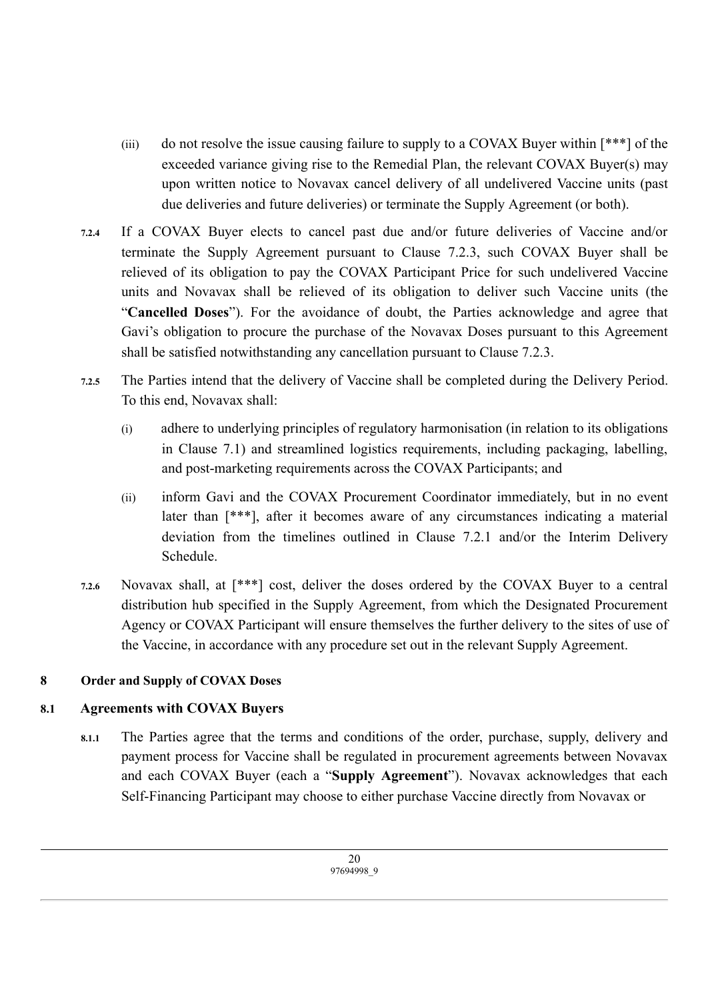- (iii) do not resolve the issue causing failure to supply to a COVAX Buyer within [\*\*\*] of the exceeded variance giving rise to the Remedial Plan, the relevant COVAX Buyer(s) may upon written notice to Novavax cancel delivery of all undelivered Vaccine units (past due deliveries and future deliveries) or terminate the Supply Agreement (or both).
- **7.2.4** If a COVAX Buyer elects to cancel past due and/or future deliveries of Vaccine and/or terminate the Supply Agreement pursuant to Clause 7.2.3, such COVAX Buyer shall be relieved of its obligation to pay the COVAX Participant Price for such undelivered Vaccine units and Novavax shall be relieved of its obligation to deliver such Vaccine units (the "**Cancelled Doses**"). For the avoidance of doubt, the Parties acknowledge and agree that Gavi's obligation to procure the purchase of the Novavax Doses pursuant to this Agreement shall be satisfied notwithstanding any cancellation pursuant to Clause 7.2.3.
- **7.2.5** The Parties intend that the delivery of Vaccine shall be completed during the Delivery Period. To this end, Novavax shall:
	- (i) adhere to underlying principles of regulatory harmonisation (in relation to its obligations in Clause 7.1) and streamlined logistics requirements, including packaging, labelling, and post-marketing requirements across the COVAX Participants; and
	- (ii) inform Gavi and the COVAX Procurement Coordinator immediately, but in no event later than [\*\*\*], after it becomes aware of any circumstances indicating a material deviation from the timelines outlined in Clause 7.2.1 and/or the Interim Delivery Schedule.
- **7.2.6** Novavax shall, at [\*\*\*] cost, deliver the doses ordered by the COVAX Buyer to a central distribution hub specified in the Supply Agreement, from which the Designated Procurement Agency or COVAX Participant will ensure themselves the further delivery to the sites of use of the Vaccine, in accordance with any procedure set out in the relevant Supply Agreement.

## **8 Order and Supply of COVAX Doses**

## **8.1 Agreements with COVAX Buyers**

**8.1.1** The Parties agree that the terms and conditions of the order, purchase, supply, delivery and payment process for Vaccine shall be regulated in procurement agreements between Novavax and each COVAX Buyer (each a "**Supply Agreement**"). Novavax acknowledges that each Self-Financing Participant may choose to either purchase Vaccine directly from Novavax or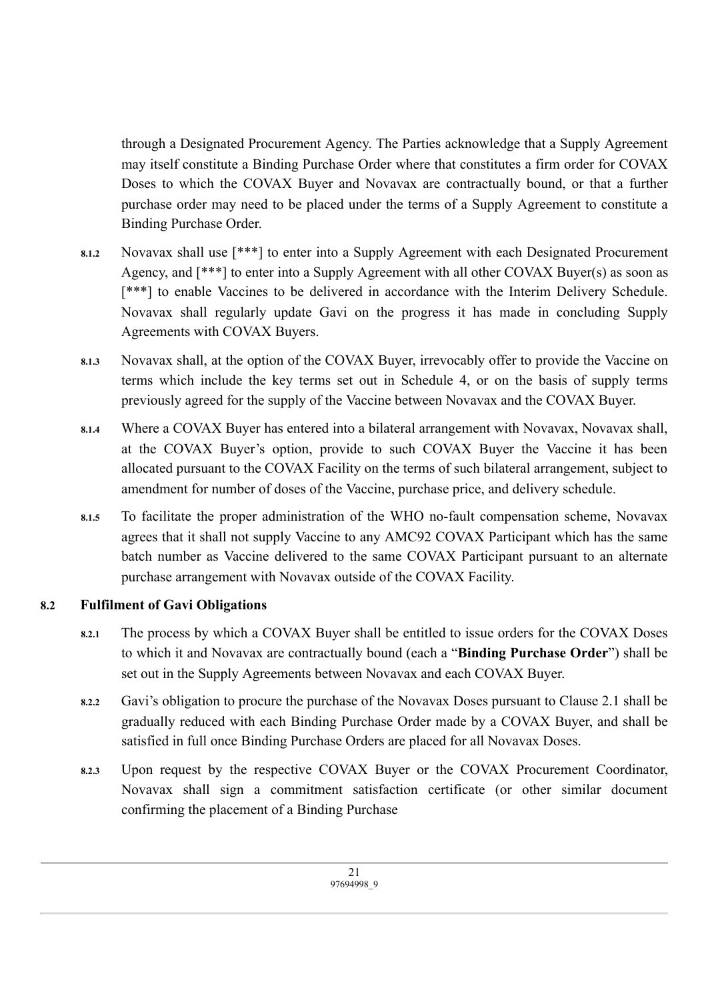through a Designated Procurement Agency. The Parties acknowledge that a Supply Agreement may itself constitute a Binding Purchase Order where that constitutes a firm order for COVAX Doses to which the COVAX Buyer and Novavax are contractually bound, or that a further purchase order may need to be placed under the terms of a Supply Agreement to constitute a Binding Purchase Order.

- **8.1.2** Novavax shall use [\*\*\*] to enter into a Supply Agreement with each Designated Procurement Agency, and [\*\*\*] to enter into a Supply Agreement with all other COVAX Buyer(s) as soon as [\*\*\*] to enable Vaccines to be delivered in accordance with the Interim Delivery Schedule. Novavax shall regularly update Gavi on the progress it has made in concluding Supply Agreements with COVAX Buyers.
- **8.1.3** Novavax shall, at the option of the COVAX Buyer, irrevocably offer to provide the Vaccine on terms which include the key terms set out in Schedule 4, or on the basis of supply terms previously agreed for the supply of the Vaccine between Novavax and the COVAX Buyer.
- **8.1.4** Where a COVAX Buyer has entered into a bilateral arrangement with Novavax, Novavax shall, at the COVAX Buyer's option, provide to such COVAX Buyer the Vaccine it has been allocated pursuant to the COVAX Facility on the terms of such bilateral arrangement, subject to amendment for number of doses of the Vaccine, purchase price, and delivery schedule.
- **8.1.5** To facilitate the proper administration of the WHO no-fault compensation scheme, Novavax agrees that it shall not supply Vaccine to any AMC92 COVAX Participant which has the same batch number as Vaccine delivered to the same COVAX Participant pursuant to an alternate purchase arrangement with Novavax outside of the COVAX Facility.

## **8.2 Fulfilment of Gavi Obligations**

- **8.2.1** The process by which a COVAX Buyer shall be entitled to issue orders for the COVAX Doses to which it and Novavax are contractually bound (each a "**Binding Purchase Order**") shall be set out in the Supply Agreements between Novavax and each COVAX Buyer.
- **8.2.2** Gavi's obligation to procure the purchase of the Novavax Doses pursuant to Clause 2.1 shall be gradually reduced with each Binding Purchase Order made by a COVAX Buyer, and shall be satisfied in full once Binding Purchase Orders are placed for all Novavax Doses.
- **8.2.3** Upon request by the respective COVAX Buyer or the COVAX Procurement Coordinator, Novavax shall sign a commitment satisfaction certificate (or other similar document confirming the placement of a Binding Purchase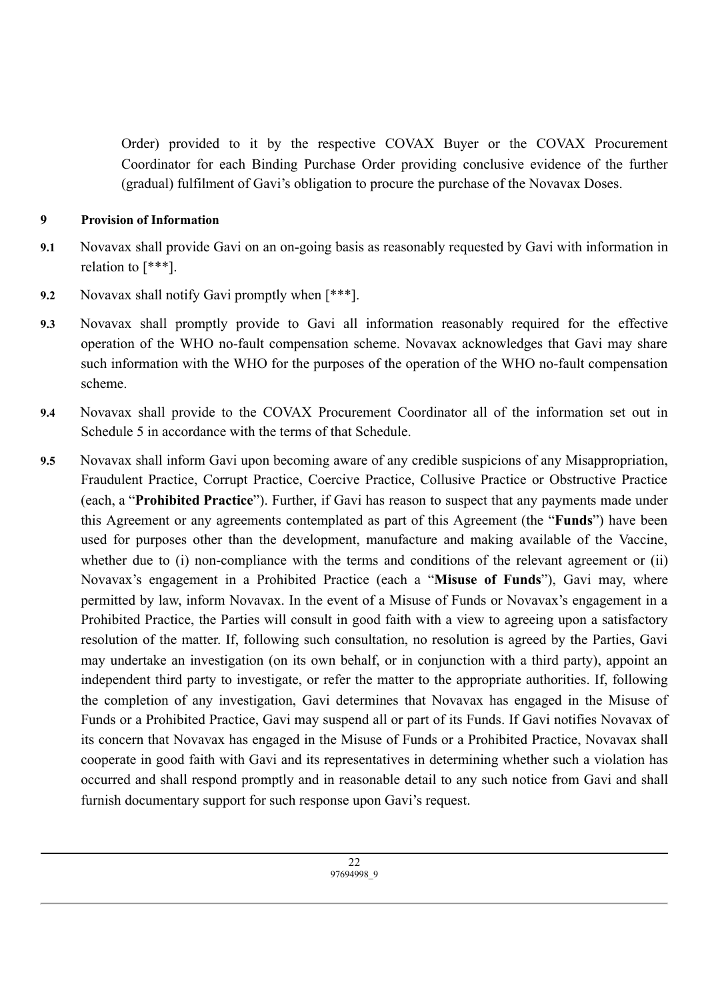Order) provided to it by the respective COVAX Buyer or the COVAX Procurement Coordinator for each Binding Purchase Order providing conclusive evidence of the further (gradual) fulfilment of Gavi's obligation to procure the purchase of the Novavax Doses.

#### **9 Provision of Information**

- **9.1** Novavax shall provide Gavi on an on-going basis as reasonably requested by Gavi with information in relation to [\*\*\*].
- **9.2** Novavax shall notify Gavi promptly when [\*\*\*].
- **9.3** Novavax shall promptly provide to Gavi all information reasonably required for the effective operation of the WHO no-fault compensation scheme. Novavax acknowledges that Gavi may share such information with the WHO for the purposes of the operation of the WHO no-fault compensation scheme.
- **9.4** Novavax shall provide to the COVAX Procurement Coordinator all of the information set out in Schedule 5 in accordance with the terms of that Schedule.
- **9.5** Novavax shall inform Gavi upon becoming aware of any credible suspicions of any Misappropriation, Fraudulent Practice, Corrupt Practice, Coercive Practice, Collusive Practice or Obstructive Practice (each, a "**Prohibited Practice**"). Further, if Gavi has reason to suspect that any payments made under this Agreement or any agreements contemplated as part of this Agreement (the "**Funds**") have been used for purposes other than the development, manufacture and making available of the Vaccine, whether due to (i) non-compliance with the terms and conditions of the relevant agreement or (ii) Novavax's engagement in a Prohibited Practice (each a "**Misuse of Funds**"), Gavi may, where permitted by law, inform Novavax. In the event of a Misuse of Funds or Novavax's engagement in a Prohibited Practice, the Parties will consult in good faith with a view to agreeing upon a satisfactory resolution of the matter. If, following such consultation, no resolution is agreed by the Parties, Gavi may undertake an investigation (on its own behalf, or in conjunction with a third party), appoint an independent third party to investigate, or refer the matter to the appropriate authorities. If, following the completion of any investigation, Gavi determines that Novavax has engaged in the Misuse of Funds or a Prohibited Practice, Gavi may suspend all or part of its Funds. If Gavi notifies Novavax of its concern that Novavax has engaged in the Misuse of Funds or a Prohibited Practice, Novavax shall cooperate in good faith with Gavi and its representatives in determining whether such a violation has occurred and shall respond promptly and in reasonable detail to any such notice from Gavi and shall furnish documentary support for such response upon Gavi's request.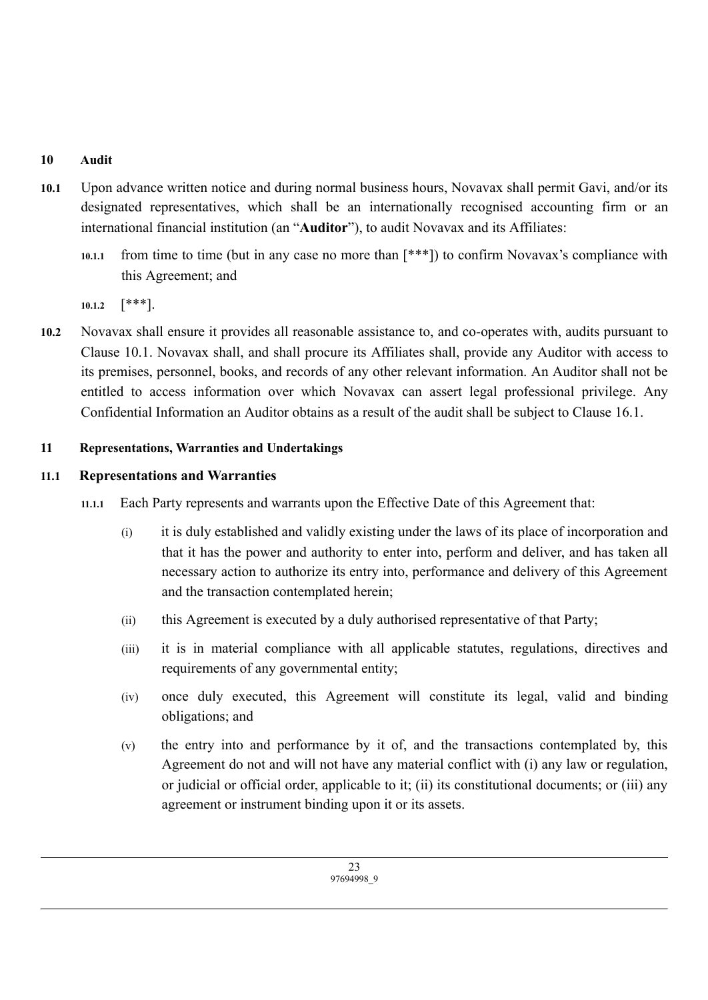### **10 Audit**

- **10.1** Upon advance written notice and during normal business hours, Novavax shall permit Gavi, and/or its designated representatives, which shall be an internationally recognised accounting firm or an international financial institution (an "**Auditor**"), to audit Novavax and its Affiliates:
	- **10.1.1** from time to time (but in any case no more than [\*\*\*]) to confirm Novavax's compliance with this Agreement; and

**10.1.2** [\*\*\*].

**10.2** Novavax shall ensure it provides all reasonable assistance to, and co-operates with, audits pursuant to Clause 10.1. Novavax shall, and shall procure its Affiliates shall, provide any Auditor with access to its premises, personnel, books, and records of any other relevant information. An Auditor shall not be entitled to access information over which Novavax can assert legal professional privilege. Any Confidential Information an Auditor obtains as a result of the audit shall be subject to Clause 16.1.

#### **11 Representations, Warranties and Undertakings**

#### **11.1 Representations and Warranties**

- **11.1.1** Each Party represents and warrants upon the Effective Date of this Agreement that:
	- (i) it is duly established and validly existing under the laws of its place of incorporation and that it has the power and authority to enter into, perform and deliver, and has taken all necessary action to authorize its entry into, performance and delivery of this Agreement and the transaction contemplated herein;
	- (ii) this Agreement is executed by a duly authorised representative of that Party;
	- (iii) it is in material compliance with all applicable statutes, regulations, directives and requirements of any governmental entity;
	- (iv) once duly executed, this Agreement will constitute its legal, valid and binding obligations; and
	- (v) the entry into and performance by it of, and the transactions contemplated by, this Agreement do not and will not have any material conflict with (i) any law or regulation, or judicial or official order, applicable to it; (ii) its constitutional documents; or (iii) any agreement or instrument binding upon it or its assets.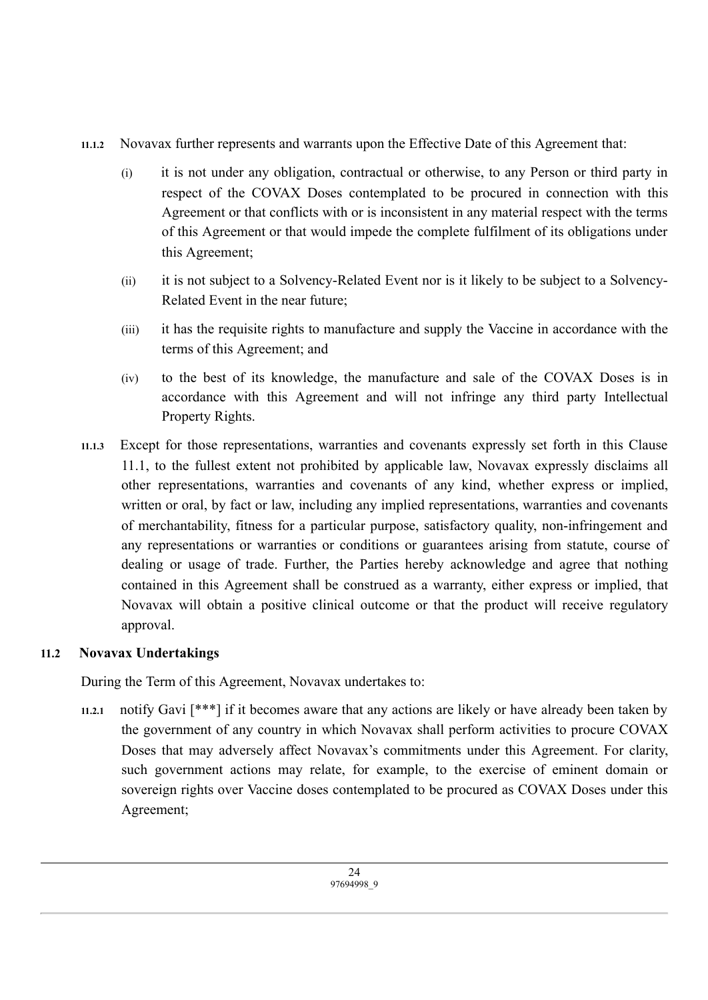- **11.1.2** Novavax further represents and warrants upon the Effective Date of this Agreement that:
	- (i) it is not under any obligation, contractual or otherwise, to any Person or third party in respect of the COVAX Doses contemplated to be procured in connection with this Agreement or that conflicts with or is inconsistent in any material respect with the terms of this Agreement or that would impede the complete fulfilment of its obligations under this Agreement;
	- (ii) it is not subject to a Solvency-Related Event nor is it likely to be subject to a Solvency-Related Event in the near future;
	- (iii) it has the requisite rights to manufacture and supply the Vaccine in accordance with the terms of this Agreement; and
	- (iv) to the best of its knowledge, the manufacture and sale of the COVAX Doses is in accordance with this Agreement and will not infringe any third party Intellectual Property Rights.
- **11.1.3** Except for those representations, warranties and covenants expressly set forth in this Clause 11.1, to the fullest extent not prohibited by applicable law, Novavax expressly disclaims all other representations, warranties and covenants of any kind, whether express or implied, written or oral, by fact or law, including any implied representations, warranties and covenants of merchantability, fitness for a particular purpose, satisfactory quality, non-infringement and any representations or warranties or conditions or guarantees arising from statute, course of dealing or usage of trade. Further, the Parties hereby acknowledge and agree that nothing contained in this Agreement shall be construed as a warranty, either express or implied, that Novavax will obtain a positive clinical outcome or that the product will receive regulatory approval.

## **11.2 Novavax Undertakings**

During the Term of this Agreement, Novavax undertakes to:

**11.2.1** notify Gavi [\*\*\*] if it becomes aware that any actions are likely or have already been taken by the government of any country in which Novavax shall perform activities to procure COVAX Doses that may adversely affect Novavax's commitments under this Agreement. For clarity, such government actions may relate, for example, to the exercise of eminent domain or sovereign rights over Vaccine doses contemplated to be procured as COVAX Doses under this Agreement;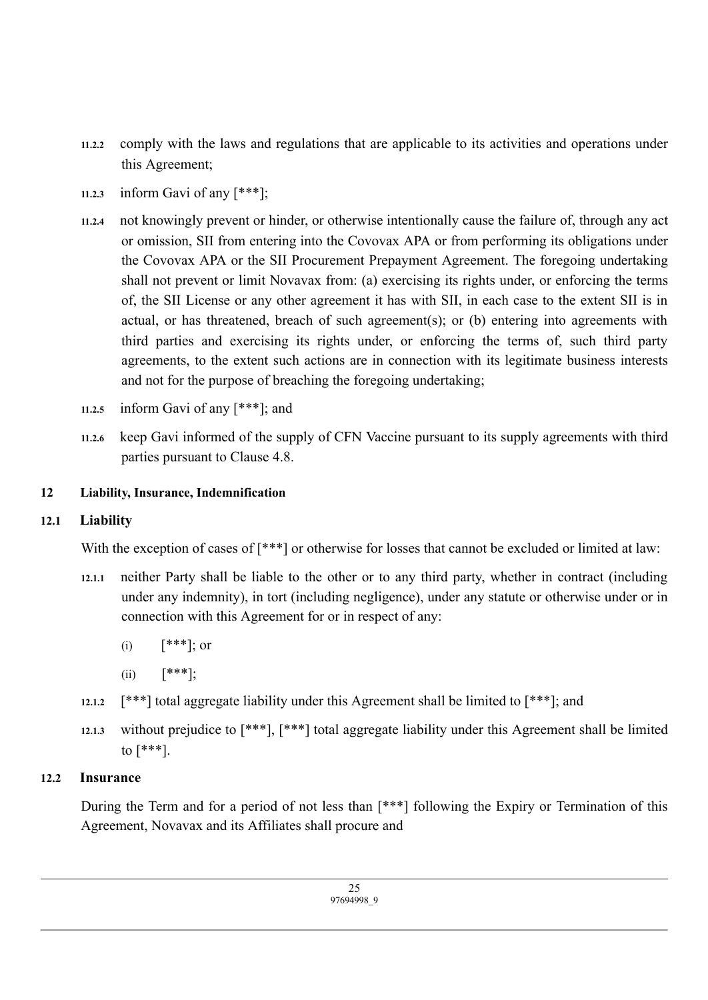- **11.2.2** comply with the laws and regulations that are applicable to its activities and operations under this Agreement;
- **11.2.3** inform Gavi of any [\*\*\*];
- **11.2.4** not knowingly prevent or hinder, or otherwise intentionally cause the failure of, through any act or omission, SII from entering into the Covovax APA or from performing its obligations under the Covovax APA or the SII Procurement Prepayment Agreement. The foregoing undertaking shall not prevent or limit Novavax from: (a) exercising its rights under, or enforcing the terms of, the SII License or any other agreement it has with SII, in each case to the extent SII is in actual, or has threatened, breach of such agreement(s); or (b) entering into agreements with third parties and exercising its rights under, or enforcing the terms of, such third party agreements, to the extent such actions are in connection with its legitimate business interests and not for the purpose of breaching the foregoing undertaking;
- **11.2.5** inform Gavi of any [\*\*\*]; and
- **11.2.6** keep Gavi informed of the supply of CFN Vaccine pursuant to its supply agreements with third parties pursuant to Clause 4.8.

### **12 Liability, Insurance, Indemnification**

## **12.1 Liability**

With the exception of cases of  $[***]$  or otherwise for losses that cannot be excluded or limited at law:

- **12.1.1** neither Party shall be liable to the other or to any third party, whether in contract (including under any indemnity), in tort (including negligence), under any statute or otherwise under or in connection with this Agreement for or in respect of any:
	- (i)  $[***]$ ; or
	- (ii)  $[***]$ ;
- **12.1.2** [\*\*\*] total aggregate liability under this Agreement shall be limited to [\*\*\*]; and
- **12.1.3** without prejudice to [\*\*\*], [\*\*\*] total aggregate liability under this Agreement shall be limited to [\*\*\*].

## **12.2 Insurance**

During the Term and for a period of not less than [\*\*\*] following the Expiry or Termination of this Agreement, Novavax and its Affiliates shall procure and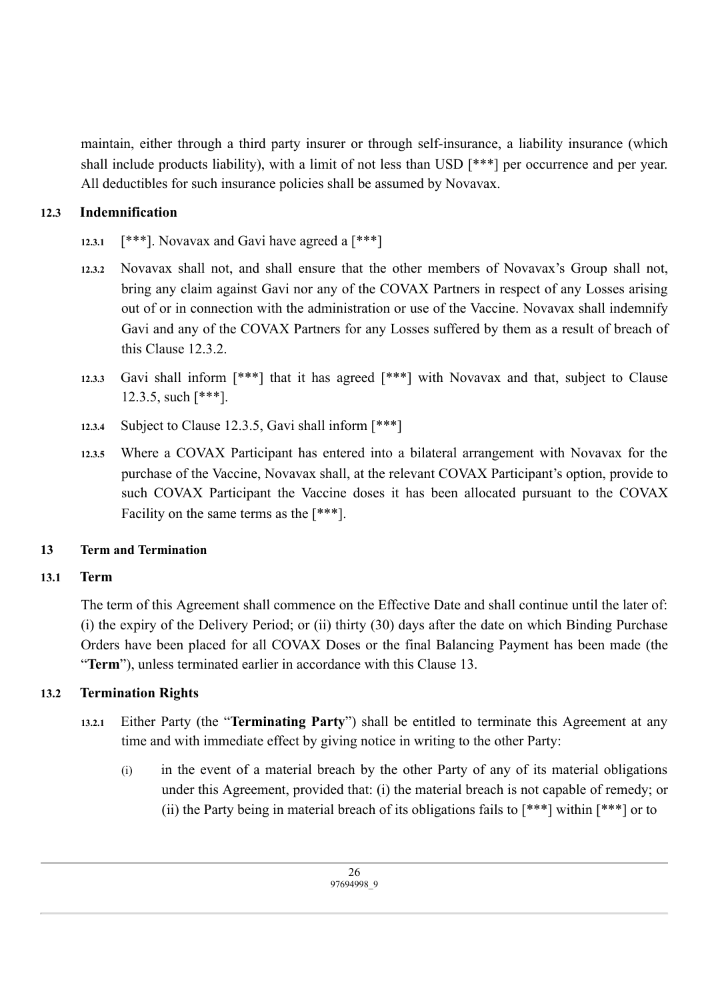maintain, either through a third party insurer or through self-insurance, a liability insurance (which shall include products liability), with a limit of not less than USD [\*\*\*] per occurrence and per year. All deductibles for such insurance policies shall be assumed by Novavax.

## **12.3 Indemnification**

- 12.3.1  $[***]$ . Novavax and Gavi have agreed a  $[***]$
- **12.3.2** Novavax shall not, and shall ensure that the other members of Novavax's Group shall not, bring any claim against Gavi nor any of the COVAX Partners in respect of any Losses arising out of or in connection with the administration or use of the Vaccine. Novavax shall indemnify Gavi and any of the COVAX Partners for any Losses suffered by them as a result of breach of this Clause 12.3.2.
- **12.3.3** Gavi shall inform [\*\*\*] that it has agreed [\*\*\*] with Novavax and that, subject to Clause 12.3.5, such [\*\*\*].
- **12.3.4** Subject to Clause 12.3.5, Gavi shall inform [\*\*\*]
- **12.3.5** Where a COVAX Participant has entered into a bilateral arrangement with Novavax for the purchase of the Vaccine, Novavax shall, at the relevant COVAX Participant's option, provide to such COVAX Participant the Vaccine doses it has been allocated pursuant to the COVAX Facility on the same terms as the [\*\*\*].

## **13 Term and Termination**

## **13.1 Term**

The term of this Agreement shall commence on the Effective Date and shall continue until the later of: (i) the expiry of the Delivery Period; or (ii) thirty (30) days after the date on which Binding Purchase Orders have been placed for all COVAX Doses or the final Balancing Payment has been made (the "**Term**"), unless terminated earlier in accordance with this Clause 13.

## **13.2 Termination Rights**

- **13.2.1** Either Party (the "**Terminating Party**") shall be entitled to terminate this Agreement at any time and with immediate effect by giving notice in writing to the other Party:
	- (i) in the event of a material breach by the other Party of any of its material obligations under this Agreement, provided that: (i) the material breach is not capable of remedy; or (ii) the Party being in material breach of its obligations fails to  $[***]$  within  $[***]$  or to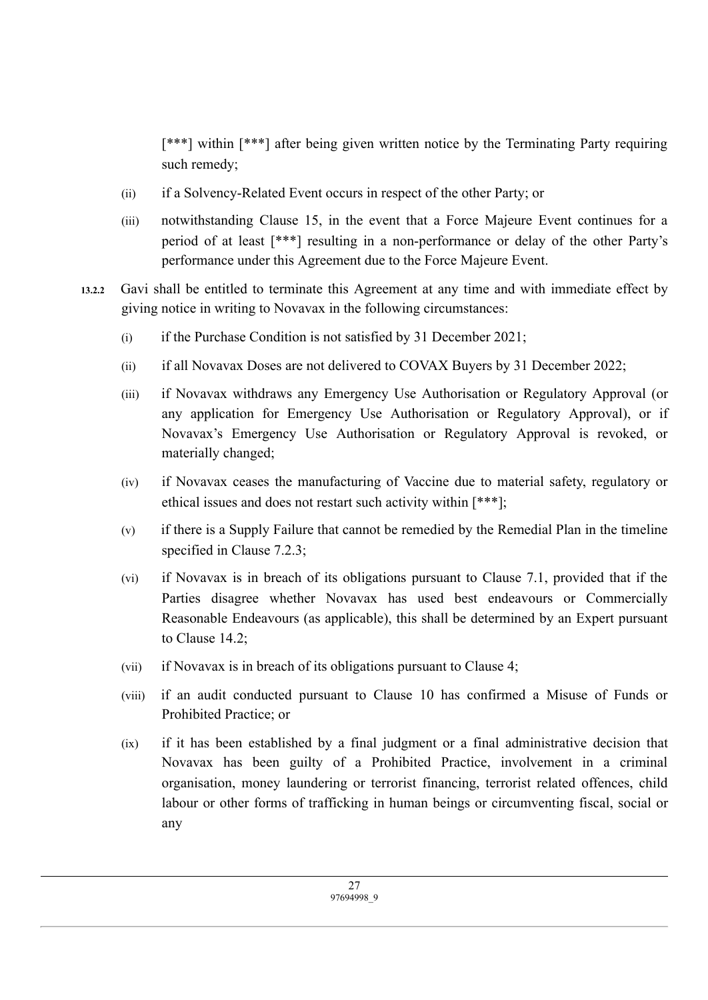[\*\*\*] within [\*\*\*] after being given written notice by the Terminating Party requiring such remedy;

- (ii) if a Solvency-Related Event occurs in respect of the other Party; or
- (iii) notwithstanding Clause 15, in the event that a Force Majeure Event continues for a period of at least [\*\*\*] resulting in a non-performance or delay of the other Party's performance under this Agreement due to the Force Majeure Event.
- **13.2.2** Gavi shall be entitled to terminate this Agreement at any time and with immediate effect by giving notice in writing to Novavax in the following circumstances:
	- (i) if the Purchase Condition is not satisfied by 31 December 2021;
	- (ii) if all Novavax Doses are not delivered to COVAX Buyers by 31 December 2022;
	- (iii) if Novavax withdraws any Emergency Use Authorisation or Regulatory Approval (or any application for Emergency Use Authorisation or Regulatory Approval), or if Novavax's Emergency Use Authorisation or Regulatory Approval is revoked, or materially changed;
	- (iv) if Novavax ceases the manufacturing of Vaccine due to material safety, regulatory or ethical issues and does not restart such activity within [\*\*\*];
	- (v) if there is a Supply Failure that cannot be remedied by the Remedial Plan in the timeline specified in Clause 7.2.3;
	- (vi) if Novavax is in breach of its obligations pursuant to Clause 7.1, provided that if the Parties disagree whether Novavax has used best endeavours or Commercially Reasonable Endeavours (as applicable), this shall be determined by an Expert pursuant to Clause 14.2;
	- (vii) if Novavax is in breach of its obligations pursuant to Clause 4;
	- (viii) if an audit conducted pursuant to Clause 10 has confirmed a Misuse of Funds or Prohibited Practice; or
	- (ix) if it has been established by a final judgment or a final administrative decision that Novavax has been guilty of a Prohibited Practice, involvement in a criminal organisation, money laundering or terrorist financing, terrorist related offences, child labour or other forms of trafficking in human beings or circumventing fiscal, social or any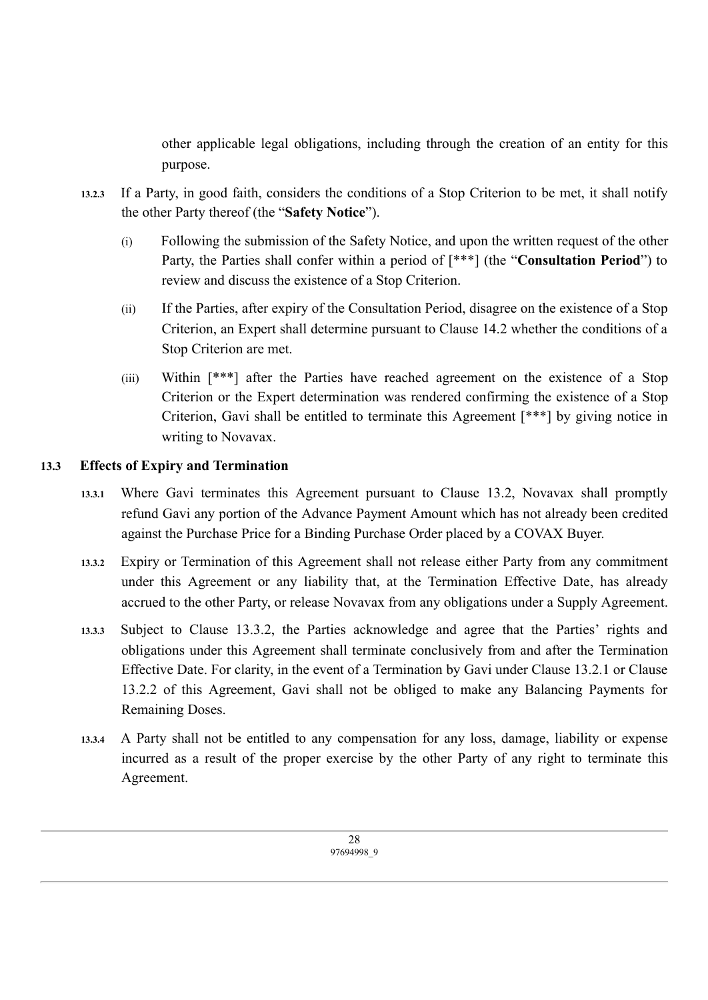other applicable legal obligations, including through the creation of an entity for this purpose.

- **13.2.3** If a Party, in good faith, considers the conditions of a Stop Criterion to be met, it shall notify the other Party thereof (the "**Safety Notice**").
	- (i) Following the submission of the Safety Notice, and upon the written request of the other Party, the Parties shall confer within a period of [\*\*\*] (the "**Consultation Period**") to review and discuss the existence of a Stop Criterion.
	- (ii) If the Parties, after expiry of the Consultation Period, disagree on the existence of a Stop Criterion, an Expert shall determine pursuant to Clause 14.2 whether the conditions of a Stop Criterion are met.
	- (iii) Within [\*\*\*] after the Parties have reached agreement on the existence of a Stop Criterion or the Expert determination was rendered confirming the existence of a Stop Criterion, Gavi shall be entitled to terminate this Agreement [\*\*\*] by giving notice in writing to Novavax.

## **13.3 Effects of Expiry and Termination**

- **13.3.1** Where Gavi terminates this Agreement pursuant to Clause 13.2, Novavax shall promptly refund Gavi any portion of the Advance Payment Amount which has not already been credited against the Purchase Price for a Binding Purchase Order placed by a COVAX Buyer.
- **13.3.2** Expiry or Termination of this Agreement shall not release either Party from any commitment under this Agreement or any liability that, at the Termination Effective Date, has already accrued to the other Party, or release Novavax from any obligations under a Supply Agreement.
- **13.3.3** Subject to Clause 13.3.2, the Parties acknowledge and agree that the Parties' rights and obligations under this Agreement shall terminate conclusively from and after the Termination Effective Date. For clarity, in the event of a Termination by Gavi under Clause 13.2.1 or Clause 13.2.2 of this Agreement, Gavi shall not be obliged to make any Balancing Payments for Remaining Doses.
- **13.3.4** A Party shall not be entitled to any compensation for any loss, damage, liability or expense incurred as a result of the proper exercise by the other Party of any right to terminate this Agreement.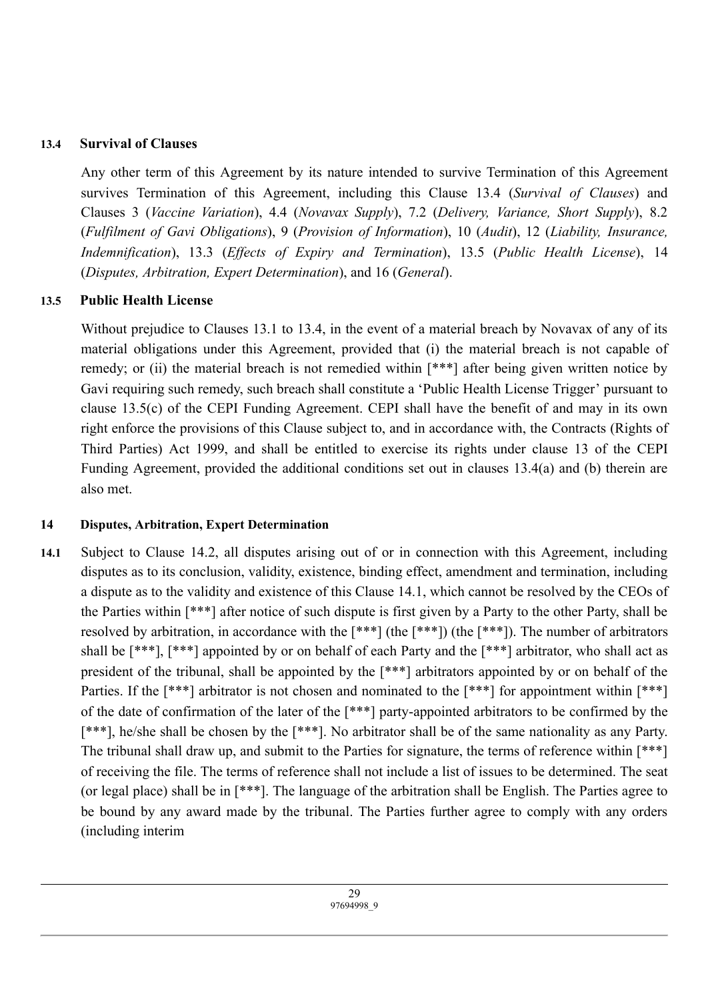### **13.4 Survival of Clauses**

Any other term of this Agreement by its nature intended to survive Termination of this Agreement survives Termination of this Agreement, including this Clause 13.4 (*Survival of Clauses*) and Clauses 3 (*Vaccine Variation*), 4.4 (*Novavax Supply*), 7.2 (*Delivery, Variance, Short Supply*), 8.2 (*Fulfilment of Gavi Obligations*), 9 (*Provision of Information*), 10 (*Audit*), 12 (*Liability, Insurance, Indemnification*), 13.3 (*Effects of Expiry and Termination*), 13.5 (*Public Health License*), 14 (*Disputes, Arbitration, Expert Determination*), and 16 (*General*).

## **13.5 Public Health License**

Without prejudice to Clauses 13.1 to 13.4, in the event of a material breach by Novavax of any of its material obligations under this Agreement, provided that (i) the material breach is not capable of remedy; or (ii) the material breach is not remedied within [\*\*\*] after being given written notice by Gavi requiring such remedy, such breach shall constitute a 'Public Health License Trigger' pursuant to clause 13.5(c) of the CEPI Funding Agreement. CEPI shall have the benefit of and may in its own right enforce the provisions of this Clause subject to, and in accordance with, the Contracts (Rights of Third Parties) Act 1999, and shall be entitled to exercise its rights under clause 13 of the CEPI Funding Agreement, provided the additional conditions set out in clauses 13.4(a) and (b) therein are also met.

## **14 Disputes, Arbitration, Expert Determination**

**14.1** Subject to Clause 14.2, all disputes arising out of or in connection with this Agreement, including disputes as to its conclusion, validity, existence, binding effect, amendment and termination, including a dispute as to the validity and existence of this Clause 14.1, which cannot be resolved by the CEOs of the Parties within [\*\*\*] after notice of such dispute is first given by a Party to the other Party, shall be resolved by arbitration, in accordance with the [\*\*\*] (the [\*\*\*]) (the [\*\*\*]). The number of arbitrators shall be [\*\*\*], [\*\*\*] appointed by or on behalf of each Party and the [\*\*\*] arbitrator, who shall act as president of the tribunal, shall be appointed by the [\*\*\*] arbitrators appointed by or on behalf of the Parties. If the  $[***]$  arbitrator is not chosen and nominated to the  $[***]$  for appointment within  $[***]$ of the date of confirmation of the later of the [\*\*\*] party-appointed arbitrators to be confirmed by the [\*\*\*], he/she shall be chosen by the [\*\*\*]. No arbitrator shall be of the same nationality as any Party. The tribunal shall draw up, and submit to the Parties for signature, the terms of reference within [\*\*\*] of receiving the file. The terms of reference shall not include a list of issues to be determined. The seat (or legal place) shall be in [\*\*\*]. The language of the arbitration shall be English. The Parties agree to be bound by any award made by the tribunal. The Parties further agree to comply with any orders (including interim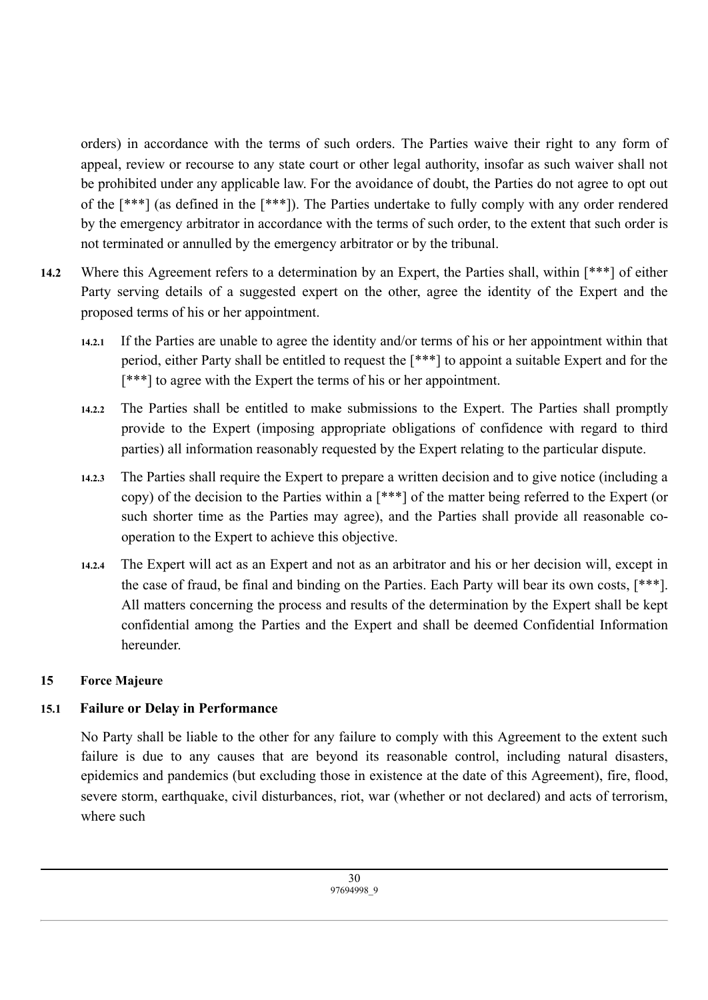orders) in accordance with the terms of such orders. The Parties waive their right to any form of appeal, review or recourse to any state court or other legal authority, insofar as such waiver shall not be prohibited under any applicable law. For the avoidance of doubt, the Parties do not agree to opt out of the [\*\*\*] (as defined in the [\*\*\*]). The Parties undertake to fully comply with any order rendered by the emergency arbitrator in accordance with the terms of such order, to the extent that such order is not terminated or annulled by the emergency arbitrator or by the tribunal.

- **14.2** Where this Agreement refers to a determination by an Expert, the Parties shall, within [\*\*\*] of either Party serving details of a suggested expert on the other, agree the identity of the Expert and the proposed terms of his or her appointment.
	- **14.2.1** If the Parties are unable to agree the identity and/or terms of his or her appointment within that period, either Party shall be entitled to request the [\*\*\*] to appoint a suitable Expert and for the [\*\*\*] to agree with the Expert the terms of his or her appointment.
	- **14.2.2** The Parties shall be entitled to make submissions to the Expert. The Parties shall promptly provide to the Expert (imposing appropriate obligations of confidence with regard to third parties) all information reasonably requested by the Expert relating to the particular dispute.
	- **14.2.3** The Parties shall require the Expert to prepare a written decision and to give notice (including a copy) of the decision to the Parties within a [\*\*\*] of the matter being referred to the Expert (or such shorter time as the Parties may agree), and the Parties shall provide all reasonable cooperation to the Expert to achieve this objective.
	- **14.2.4** The Expert will act as an Expert and not as an arbitrator and his or her decision will, except in the case of fraud, be final and binding on the Parties. Each Party will bear its own costs, [\*\*\*]. All matters concerning the process and results of the determination by the Expert shall be kept confidential among the Parties and the Expert and shall be deemed Confidential Information hereunder.

## **15 Force Majeure**

## **15.1 Failure or Delay in Performance**

No Party shall be liable to the other for any failure to comply with this Agreement to the extent such failure is due to any causes that are beyond its reasonable control, including natural disasters, epidemics and pandemics (but excluding those in existence at the date of this Agreement), fire, flood, severe storm, earthquake, civil disturbances, riot, war (whether or not declared) and acts of terrorism, where such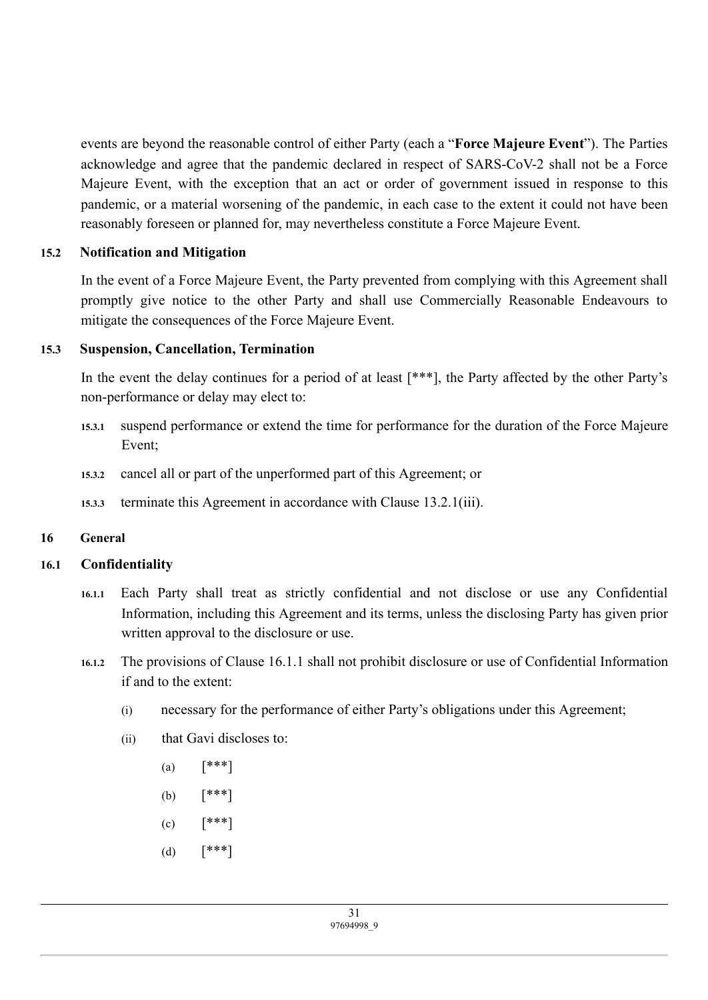events are beyond the reasonable control of either Party (each a "**Force Majeure Event**"). The Parties acknowledge and agree that the pandemic declared in respect of SARS-CoV-2 shall not be a Force Majeure Event, with the exception that an act or order of government issued in response to this pandemic, or a material worsening of the pandemic, in each case to the extent it could not have been reasonably foreseen or planned for, may nevertheless constitute a Force Majeure Event.

#### **15.2 Notification and Mitigation**

In the event of a Force Majeure Event, the Party prevented from complying with this Agreement shall promptly give notice to the other Party and shall use Commercially Reasonable Endeavours to mitigate the consequences of the Force Majeure Event.

#### **15.3 Suspension, Cancellation, Termination**

In the event the delay continues for a period of at least [\*\*\*], the Party affected by the other Party's non-performance or delay may elect to:

- **15.3.1** suspend performance or extend the time for performance for the duration of the Force Majeure Event;
- **15.3.2** cancel all or part of the unperformed part of this Agreement; or
- **15.3.3** terminate this Agreement in accordance with Clause 13.2.1(iii).

## **16 General**

## **16.1 Confidentiality**

- **16.1.1** Each Party shall treat as strictly confidential and not disclose or use any Confidential Information, including this Agreement and its terms, unless the disclosing Party has given prior written approval to the disclosure or use.
- **16.1.2** The provisions of Clause 16.1.1 shall not prohibit disclosure or use of Confidential Information if and to the extent:
	- (i) necessary for the performance of either Party's obligations under this Agreement;
	- (ii) that Gavi discloses to:
		- (a)  $[***]$
		- (b) [\*\*\*]
		- $(c)$   $[***!]$
		- (d)  $[***]$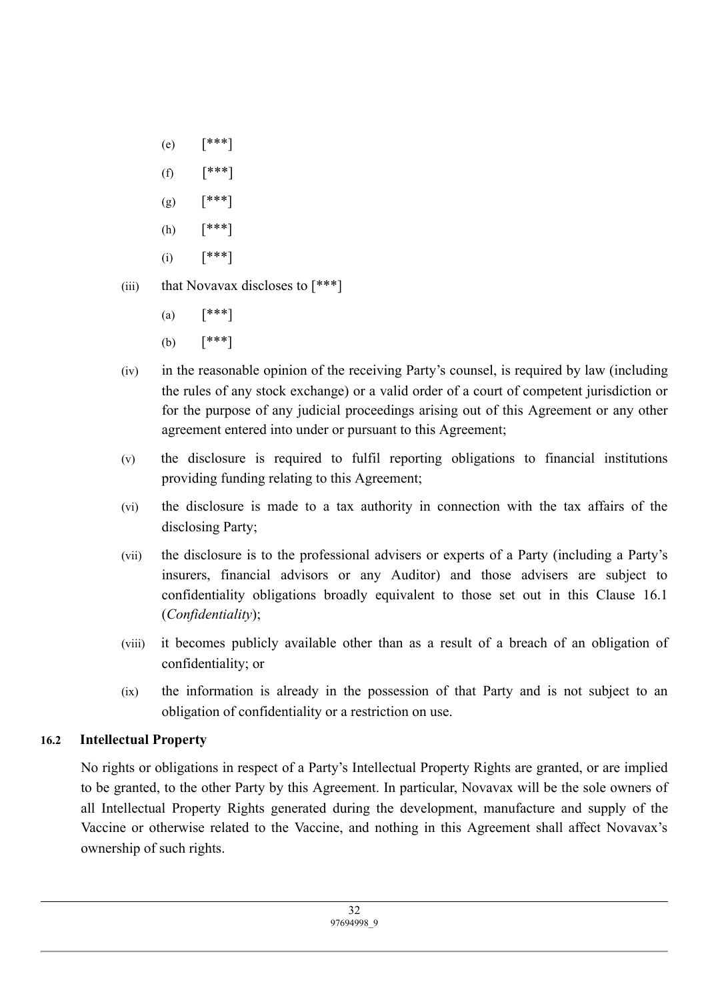- (e) [\*\*\*]
- $(f)$   $[***!]$
- $(g)$   $[***!]$
- (h) [\*\*\*]
- $(i)$   $[***!]$
- (iii) that Novavax discloses to  $[***]$ 
	- (a)  $[***]$
	- (b) [\*\*\*]
- (iv) in the reasonable opinion of the receiving Party's counsel, is required by law (including the rules of any stock exchange) or a valid order of a court of competent jurisdiction or for the purpose of any judicial proceedings arising out of this Agreement or any other agreement entered into under or pursuant to this Agreement;
- (v) the disclosure is required to fulfil reporting obligations to financial institutions providing funding relating to this Agreement;
- (vi) the disclosure is made to a tax authority in connection with the tax affairs of the disclosing Party;
- (vii) the disclosure is to the professional advisers or experts of a Party (including a Party's insurers, financial advisors or any Auditor) and those advisers are subject to confidentiality obligations broadly equivalent to those set out in this Clause 16.1 (*Confidentiality*);
- (viii) it becomes publicly available other than as a result of a breach of an obligation of confidentiality; or
- (ix) the information is already in the possession of that Party and is not subject to an obligation of confidentiality or a restriction on use.

## **16.2 Intellectual Property**

No rights or obligations in respect of a Party's Intellectual Property Rights are granted, or are implied to be granted, to the other Party by this Agreement. In particular, Novavax will be the sole owners of all Intellectual Property Rights generated during the development, manufacture and supply of the Vaccine or otherwise related to the Vaccine, and nothing in this Agreement shall affect Novavax's ownership of such rights.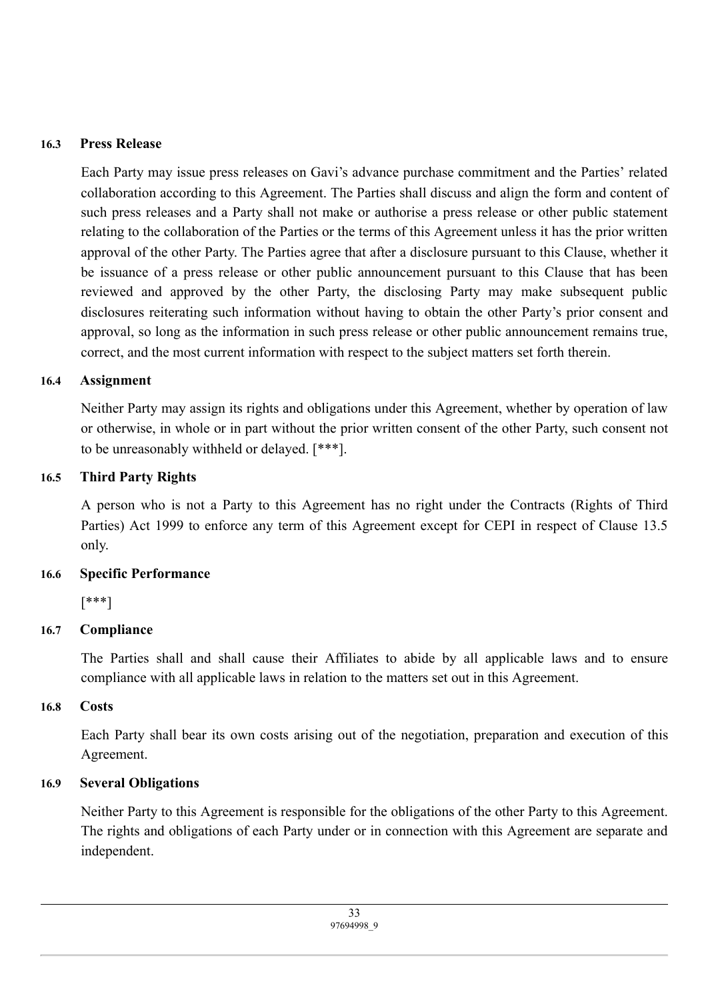#### **16.3 Press Release**

Each Party may issue press releases on Gavi's advance purchase commitment and the Parties' related collaboration according to this Agreement. The Parties shall discuss and align the form and content of such press releases and a Party shall not make or authorise a press release or other public statement relating to the collaboration of the Parties or the terms of this Agreement unless it has the prior written approval of the other Party. The Parties agree that after a disclosure pursuant to this Clause, whether it be issuance of a press release or other public announcement pursuant to this Clause that has been reviewed and approved by the other Party, the disclosing Party may make subsequent public disclosures reiterating such information without having to obtain the other Party's prior consent and approval, so long as the information in such press release or other public announcement remains true, correct, and the most current information with respect to the subject matters set forth therein.

#### **16.4 Assignment**

Neither Party may assign its rights and obligations under this Agreement, whether by operation of law or otherwise, in whole or in part without the prior written consent of the other Party, such consent not to be unreasonably withheld or delayed. [\*\*\*].

#### **16.5 Third Party Rights**

A person who is not a Party to this Agreement has no right under the Contracts (Rights of Third Parties) Act 1999 to enforce any term of this Agreement except for CEPI in respect of Clause 13.5 only.

#### **16.6 Specific Performance**

[\*\*\*]

## **16.7 Compliance**

The Parties shall and shall cause their Affiliates to abide by all applicable laws and to ensure compliance with all applicable laws in relation to the matters set out in this Agreement.

#### **16.8 Costs**

Each Party shall bear its own costs arising out of the negotiation, preparation and execution of this Agreement.

#### **16.9 Several Obligations**

Neither Party to this Agreement is responsible for the obligations of the other Party to this Agreement. The rights and obligations of each Party under or in connection with this Agreement are separate and independent.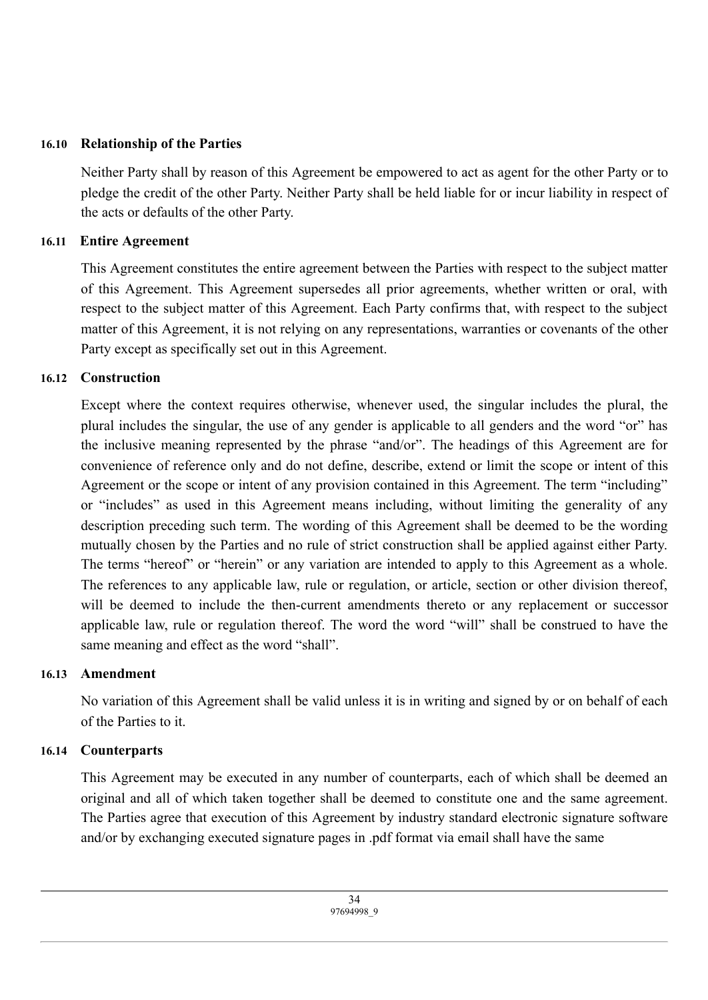### **16.10 Relationship of the Parties**

Neither Party shall by reason of this Agreement be empowered to act as agent for the other Party or to pledge the credit of the other Party. Neither Party shall be held liable for or incur liability in respect of the acts or defaults of the other Party.

#### **16.11 Entire Agreement**

This Agreement constitutes the entire agreement between the Parties with respect to the subject matter of this Agreement. This Agreement supersedes all prior agreements, whether written or oral, with respect to the subject matter of this Agreement. Each Party confirms that, with respect to the subject matter of this Agreement, it is not relying on any representations, warranties or covenants of the other Party except as specifically set out in this Agreement.

#### **16.12 Construction**

Except where the context requires otherwise, whenever used, the singular includes the plural, the plural includes the singular, the use of any gender is applicable to all genders and the word "or" has the inclusive meaning represented by the phrase "and/or". The headings of this Agreement are for convenience of reference only and do not define, describe, extend or limit the scope or intent of this Agreement or the scope or intent of any provision contained in this Agreement. The term "including" or "includes" as used in this Agreement means including, without limiting the generality of any description preceding such term. The wording of this Agreement shall be deemed to be the wording mutually chosen by the Parties and no rule of strict construction shall be applied against either Party. The terms "hereof" or "herein" or any variation are intended to apply to this Agreement as a whole. The references to any applicable law, rule or regulation, or article, section or other division thereof, will be deemed to include the then-current amendments thereto or any replacement or successor applicable law, rule or regulation thereof. The word the word "will" shall be construed to have the same meaning and effect as the word "shall".

## **16.13 Amendment**

No variation of this Agreement shall be valid unless it is in writing and signed by or on behalf of each of the Parties to it.

## **16.14 Counterparts**

This Agreement may be executed in any number of counterparts, each of which shall be deemed an original and all of which taken together shall be deemed to constitute one and the same agreement. The Parties agree that execution of this Agreement by industry standard electronic signature software and/or by exchanging executed signature pages in .pdf format via email shall have the same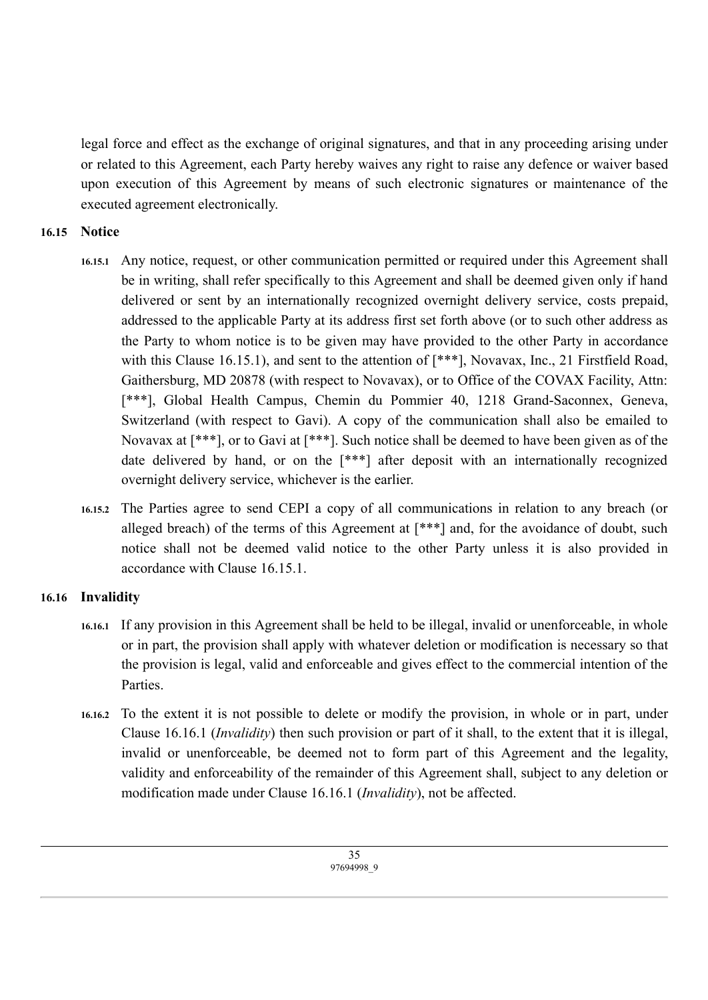legal force and effect as the exchange of original signatures, and that in any proceeding arising under or related to this Agreement, each Party hereby waives any right to raise any defence or waiver based upon execution of this Agreement by means of such electronic signatures or maintenance of the executed agreement electronically.

### **16.15 Notice**

- **16.15.1** Any notice, request, or other communication permitted or required under this Agreement shall be in writing, shall refer specifically to this Agreement and shall be deemed given only if hand delivered or sent by an internationally recognized overnight delivery service, costs prepaid, addressed to the applicable Party at its address first set forth above (or to such other address as the Party to whom notice is to be given may have provided to the other Party in accordance with this Clause 16.15.1), and sent to the attention of  $[^{***}]$ , Novavax, Inc., 21 Firstfield Road, Gaithersburg, MD 20878 (with respect to Novavax), or to Office of the COVAX Facility, Attn: [\*\*\*], Global Health Campus, Chemin du Pommier 40, 1218 Grand-Saconnex, Geneva, Switzerland (with respect to Gavi). A copy of the communication shall also be emailed to Novavax at [\*\*\*], or to Gavi at [\*\*\*]. Such notice shall be deemed to have been given as of the date delivered by hand, or on the [\*\*\*] after deposit with an internationally recognized overnight delivery service, whichever is the earlier.
- **16.15.2** The Parties agree to send CEPI a copy of all communications in relation to any breach (or alleged breach) of the terms of this Agreement at [\*\*\*] and, for the avoidance of doubt, such notice shall not be deemed valid notice to the other Party unless it is also provided in accordance with Clause 16.15.1.

## **16.16 Invalidity**

- **16.16.1** If any provision in this Agreement shall be held to be illegal, invalid or unenforceable, in whole or in part, the provision shall apply with whatever deletion or modification is necessary so that the provision is legal, valid and enforceable and gives effect to the commercial intention of the **Parties**
- **16.16.2** To the extent it is not possible to delete or modify the provision, in whole or in part, under Clause 16.16.1 (*Invalidity*) then such provision or part of it shall, to the extent that it is illegal, invalid or unenforceable, be deemed not to form part of this Agreement and the legality, validity and enforceability of the remainder of this Agreement shall, subject to any deletion or modification made under Clause 16.16.1 (*Invalidity*), not be affected.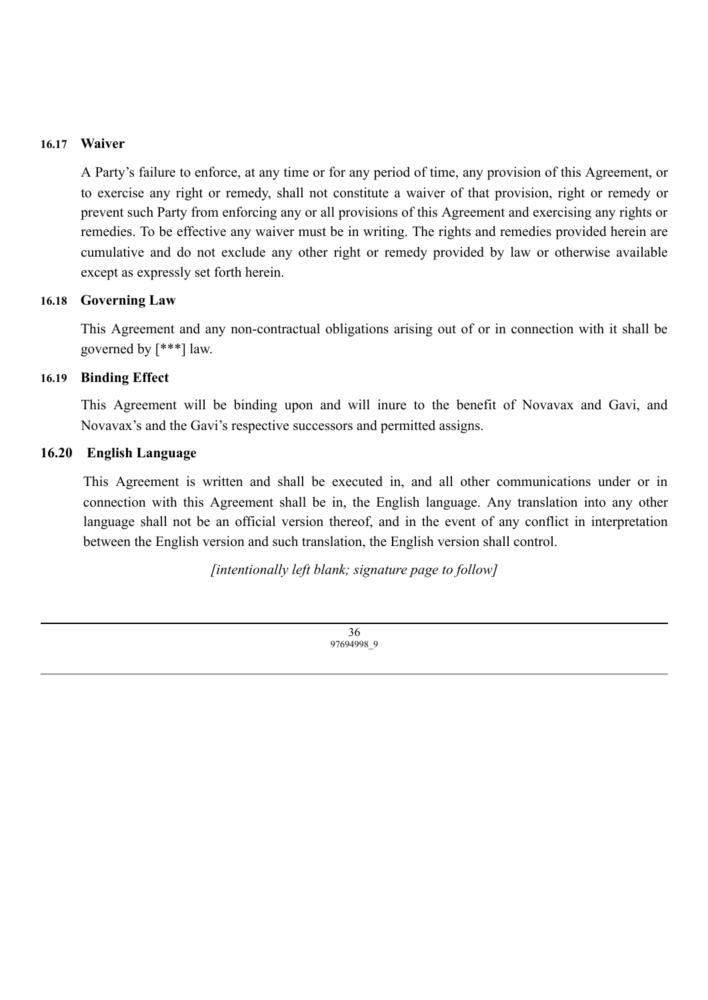#### **16.17 Waiver**

A Party's failure to enforce, at any time or for any period of time, any provision of this Agreement, or to exercise any right or remedy, shall not constitute a waiver of that provision, right or remedy or prevent such Party from enforcing any or all provisions of this Agreement and exercising any rights or remedies. To be effective any waiver must be in writing. The rights and remedies provided herein are cumulative and do not exclude any other right or remedy provided by law or otherwise available except as expressly set forth herein.

#### **16.18 Governing Law**

This Agreement and any non-contractual obligations arising out of or in connection with it shall be governed by [\*\*\*] law.

#### **16.19 Binding Effect**

This Agreement will be binding upon and will inure to the benefit of Novavax and Gavi, and Novavax's and the Gavi's respective successors and permitted assigns.

#### **16.20 English Language**

This Agreement is written and shall be executed in, and all other communications under or in connection with this Agreement shall be in, the English language. Any translation into any other language shall not be an official version thereof, and in the event of any conflict in interpretation between the English version and such translation, the English version shall control.

*[intentionally left blank; signature page to follow]*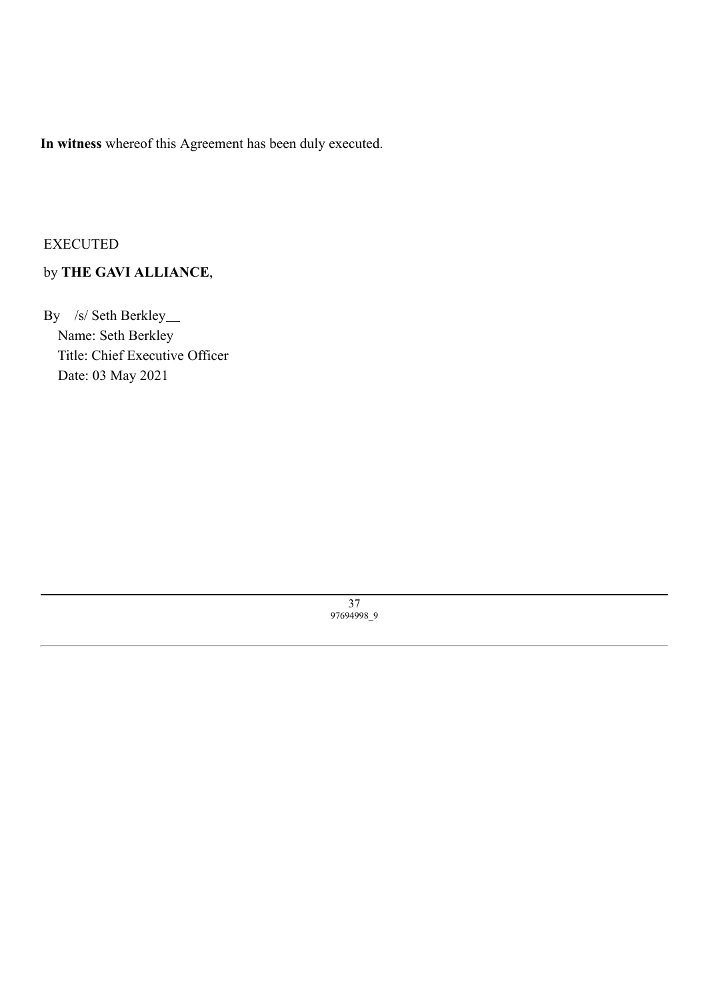**In witness** whereof this Agreement has been duly executed.

#### EXECUTED

## by **THE GAVI ALLIANCE**,

<span id="page-42-0"></span>By /s/ Seth Berkley\_ Name: Seth Berkley Title: Chief Executive Officer Date: 03 May 2021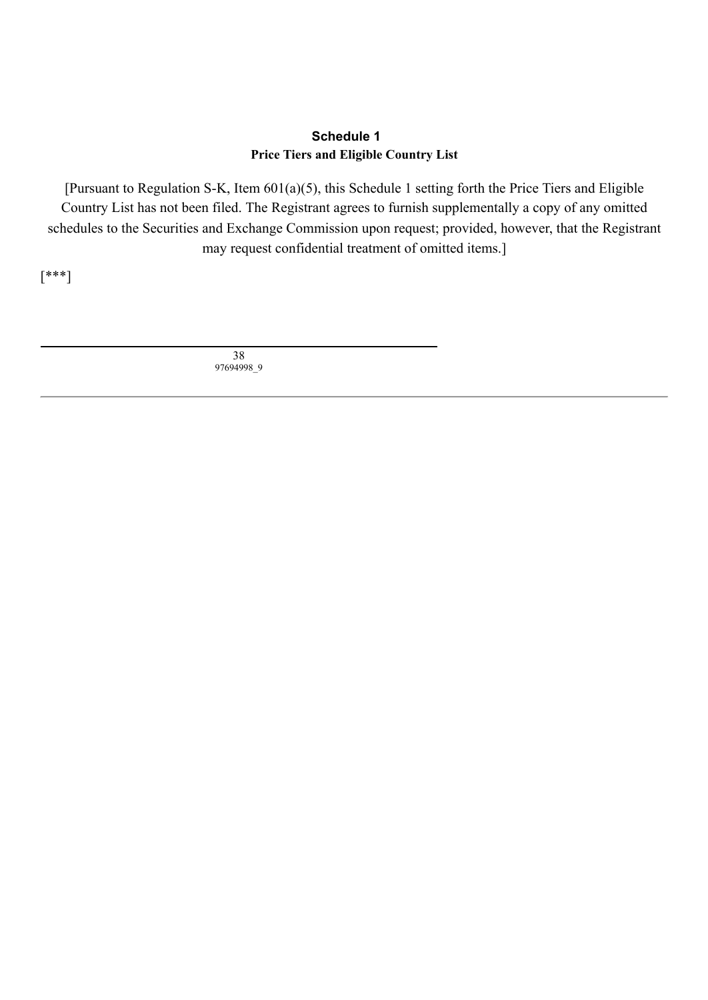#### **Schedule 1 Price Tiers and Eligible Country List**

[Pursuant to Regulation S-K, Item 601(a)(5), this Schedule 1 setting forth the Price Tiers and Eligible Country List has not been filed. The Registrant agrees to furnish supplementally a copy of any omitted schedules to the Securities and Exchange Commission upon request; provided, however, that the Registrant may request confidential treatment of omitted items.]

[\*\*\*]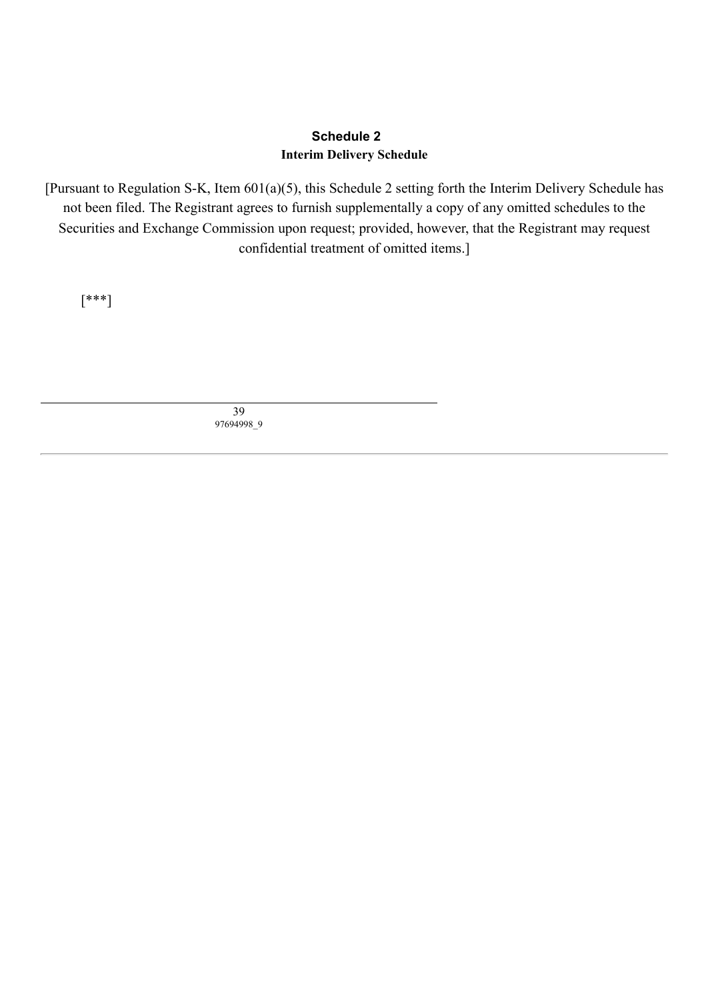#### **Schedule 2 Interim Delivery Schedule**

[Pursuant to Regulation S-K, Item 601(a)(5), this Schedule 2 setting forth the Interim Delivery Schedule has not been filed. The Registrant agrees to furnish supplementally a copy of any omitted schedules to the Securities and Exchange Commission upon request; provided, however, that the Registrant may request confidential treatment of omitted items.]

<span id="page-44-0"></span>[\*\*\*]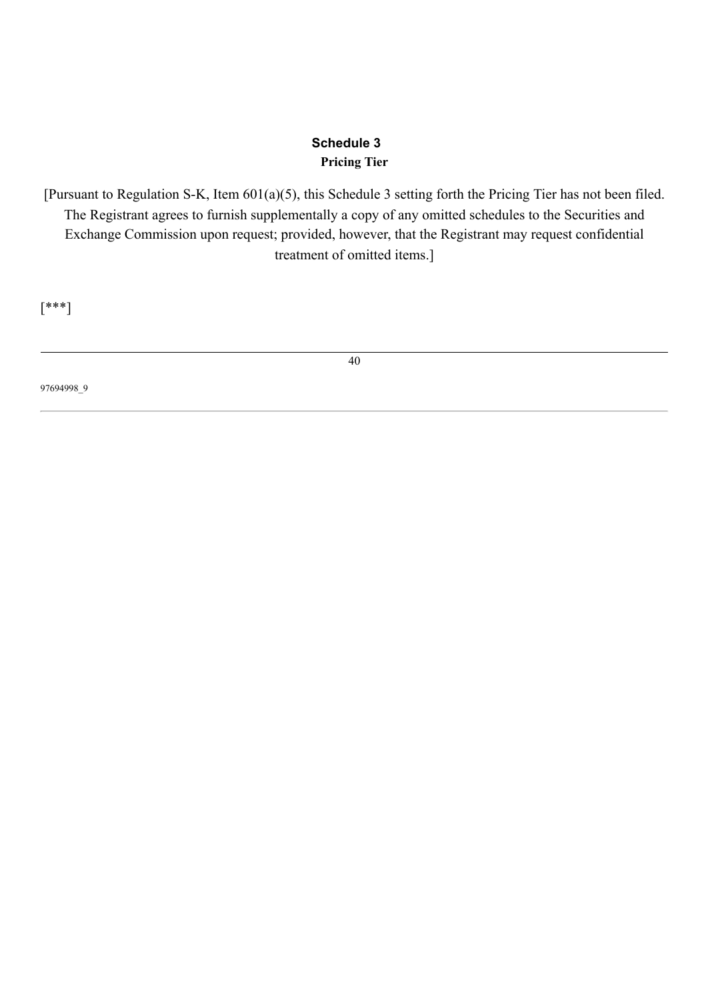#### **Schedule 3 Pricing Tier**

[Pursuant to Regulation S-K, Item 601(a)(5), this Schedule 3 setting forth the Pricing Tier has not been filed. The Registrant agrees to furnish supplementally a copy of any omitted schedules to the Securities and Exchange Commission upon request; provided, however, that the Registrant may request confidential treatment of omitted items.]

[\*\*\*]

<span id="page-45-0"></span>97694998\_9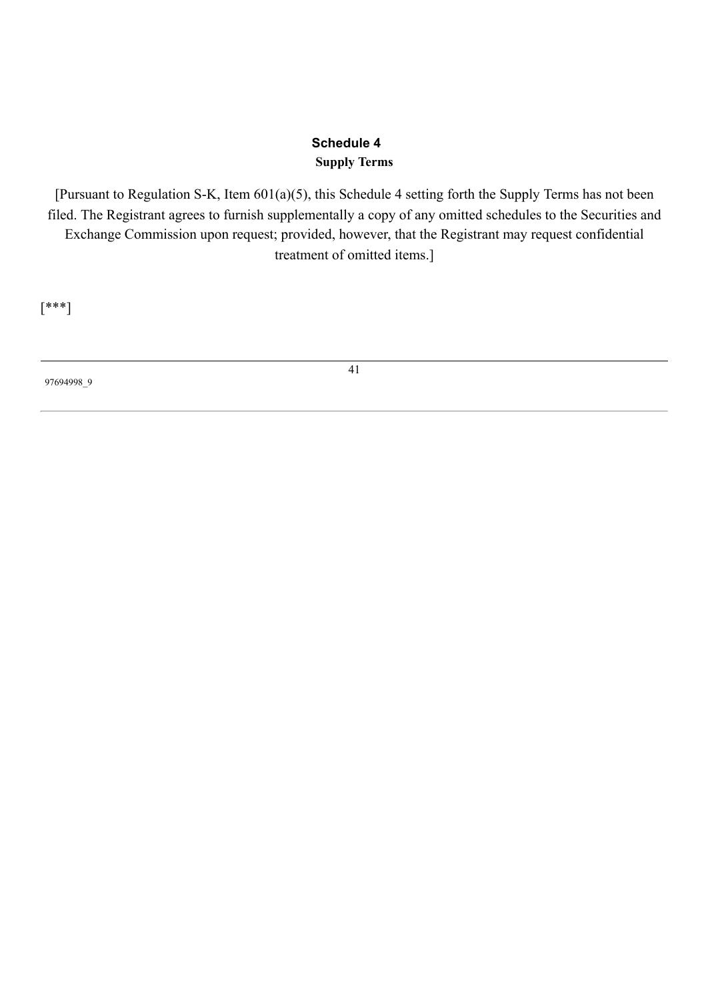## **Schedule 4 Supply Terms**

[Pursuant to Regulation S-K, Item 601(a)(5), this Schedule 4 setting forth the Supply Terms has not been filed. The Registrant agrees to furnish supplementally a copy of any omitted schedules to the Securities and Exchange Commission upon request; provided, however, that the Registrant may request confidential treatment of omitted items.]

[\*\*\*]

97694998\_9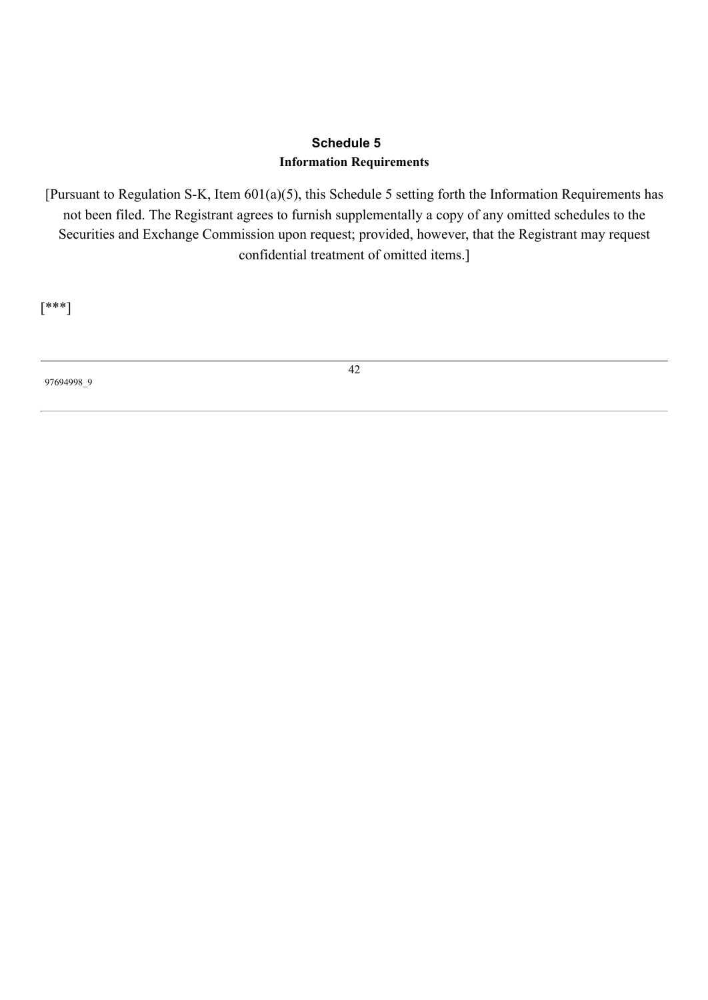## **Schedule 5 Information Requirements**

[Pursuant to Regulation S-K, Item 601(a)(5), this Schedule 5 setting forth the Information Requirements has not been filed. The Registrant agrees to furnish supplementally a copy of any omitted schedules to the Securities and Exchange Commission upon request; provided, however, that the Registrant may request confidential treatment of omitted items.]

[\*\*\*]

97694998\_9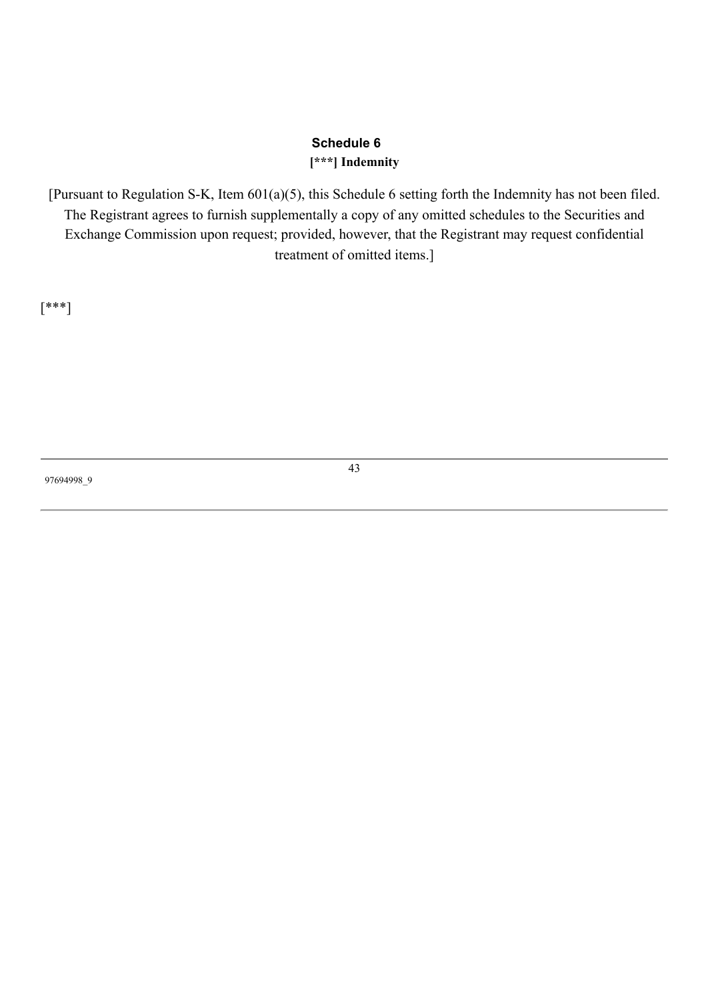#### **Schedule 6 [\*\*\*] Indemnity**

[Pursuant to Regulation S-K, Item 601(a)(5), this Schedule 6 setting forth the Indemnity has not been filed. The Registrant agrees to furnish supplementally a copy of any omitted schedules to the Securities and Exchange Commission upon request; provided, however, that the Registrant may request confidential treatment of omitted items.]

[\*\*\*]

97694998\_9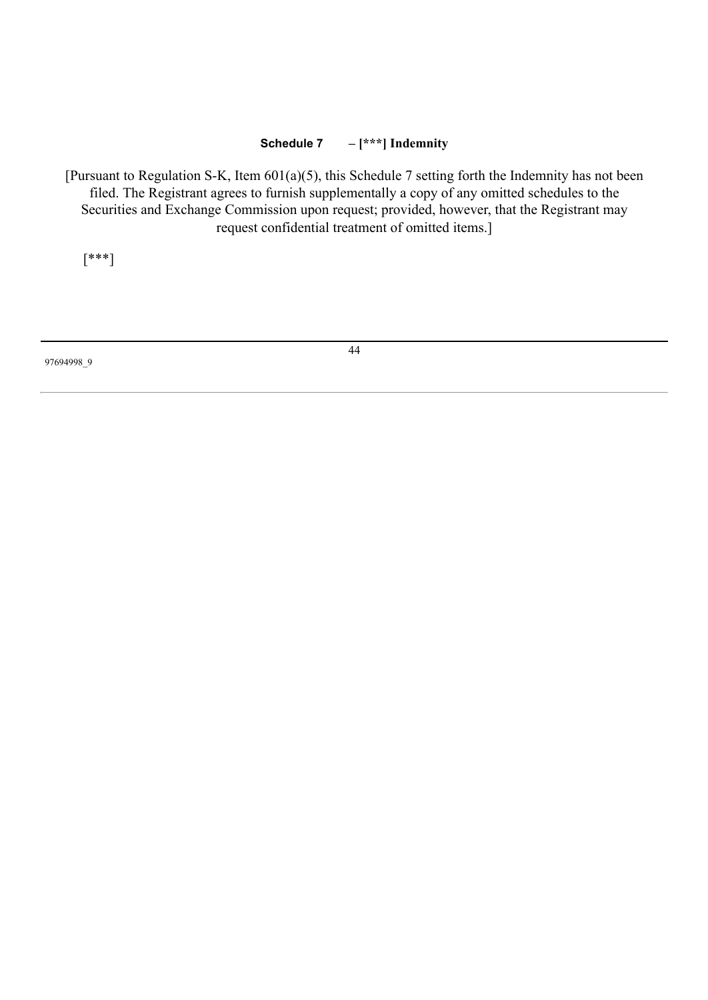#### **Schedule 7 – [\*\*\*] Indemnity**

[Pursuant to Regulation S-K, Item 601(a)(5), this Schedule 7 setting forth the Indemnity has not been filed. The Registrant agrees to furnish supplementally a copy of any omitted schedules to the Securities and Exchange Commission upon request; provided, however, that the Registrant may request confidential treatment of omitted items.]

[\*\*\*]

97694998\_9